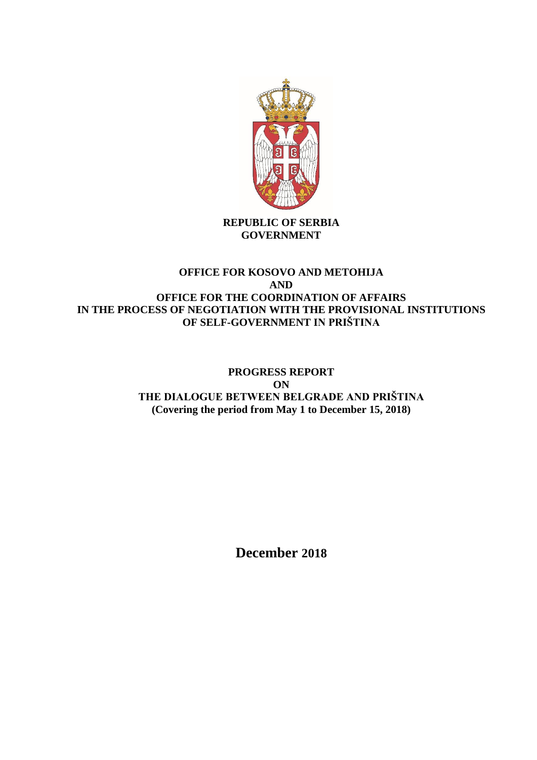

**REPUBLIC OF SERBIA GOVERNMENT**

## **OFFICE FOR KOSOVO AND METOHIJA AND OFFICE FOR THE COORDINATION OF AFFAIRS IN THE PROCESS OF NEGOTIATION WITH THE PROVISIONAL INSTITUTIONS OF SELF-GOVERNMENT IN PRIŠTINA**

# **PROGRESS REPORT ON THE DIALOGUE BETWEEN BELGRADE AND PRIŠTINA (Covering the period from May 1 to December 15, 2018)**

**December 2018**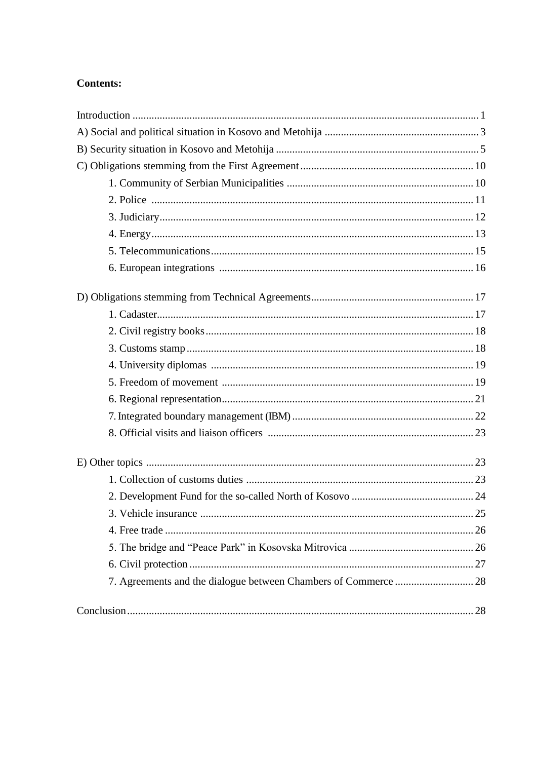# **Contents:**

| 3. Vehicle insurance.                                           | $\dots 25$ |
|-----------------------------------------------------------------|------------|
|                                                                 |            |
|                                                                 |            |
|                                                                 |            |
| 7. Agreements and the dialogue between Chambers of Commerce  28 |            |
|                                                                 |            |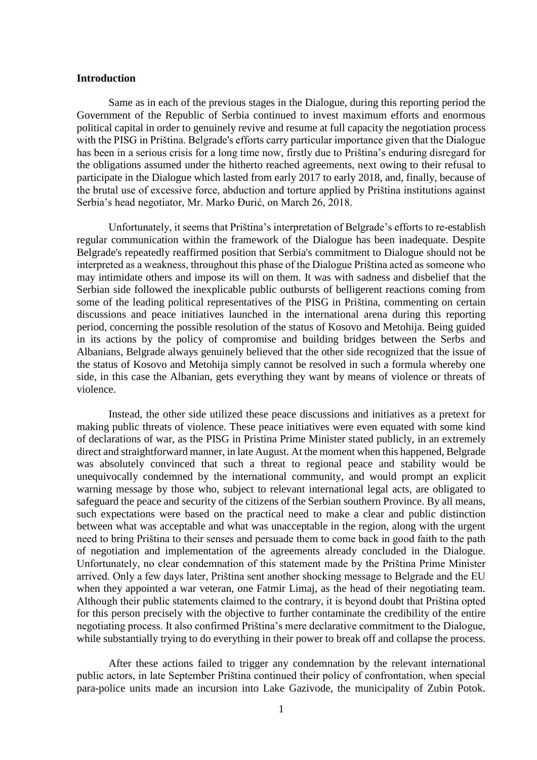## **Introduction**

Same as in each of the previous stages in the Dialogue, during this reporting period the Government of the Republic of Serbia continued to invest maximum efforts and enormous political capital in order to genuinely revive and resume at full capacity the negotiation process with the PISG in Priština. Belgrade's efforts carry particular importance given that the Dialogue has been in a serious crisis for a long time now, firstly due to Priština's enduring disregard for the obligations assumed under the hitherto reached agreements, next owing to their refusal to participate in the Dialogue which lasted from early 2017 to early 2018, and, finally, because of the brutal use of excessive force, abduction and torture applied by Priština institutions against Serbia's head negotiator, Mr. Marko Đurić, on March 26, 2018.

Unfortunately, it seems that Priština's interpretation of Belgrade's efforts to re-establish regular communication within the framework of the Dialogue has been inadequate. Despite Belgrade's repeatedly reaffirmed position that Serbia's commitment to Dialogue should not be interpreted as a weakness, throughout this phase of the Dialogue Priština acted as someone who may intimidate others and impose its will on them. It was with sadness and disbelief that the Serbian side followed the inexplicable public outbursts of belligerent reactions coming from some of the leading political representatives of the PISG in Priština, commenting on certain discussions and peace initiatives launched in the international arena during this reporting period, concerning the possible resolution of the status of Kosovo and Metohija. Being guided in its actions by the policy of compromise and building bridges between the Serbs and Albanians, Belgrade always genuinely believed that the other side recognized that the issue of the status of Kosovo and Metohija simply cannot be resolved in such a formula whereby one side, in this case the Albanian, gets everything they want by means of violence or threats of violence.

Instead, the other side utilized these peace discussions and initiatives as a pretext for making public threats of violence. These peace initiatives were even equated with some kind of declarations of war, as the PISG in Pristina Prime Minister stated publicly, in an extremely direct and straightforward manner, in late August. At the moment when this happened, Belgrade was absolutely convinced that such a threat to regional peace and stability would be unequivocally condemned by the international community, and would prompt an explicit warning message by those who, subject to relevant international legal acts, are obligated to safeguard the peace and security of the citizens of the Serbian southern Province. By all means, such expectations were based on the practical need to make a clear and public distinction between what was acceptable and what was unacceptable in the region, along with the urgent need to bring Priština to their senses and persuade them to come back in good faith to the path of negotiation and implementation of the agreements already concluded in the Dialogue. Unfortunately, no clear condemnation of this statement made by the Priština Prime Minister arrived. Only a few days later, Priština sent another shocking message to Belgrade and the EU when they appointed a war veteran, one Fatmir Limaj, as the head of their negotiating team. Although their public statements claimed to the contrary, it is beyond doubt that Priština opted for this person precisely with the objective to further contaminate the credibility of the entire negotiating process. It also confirmed Priština's mere declarative commitment to the Dialogue, while substantially trying to do everything in their power to break off and collapse the process.

After these actions failed to trigger any condemnation by the relevant international public actors, in late September Priština continued their policy of confrontation, when special para-police units made an incursion into Lake Gazivode, the municipality of Zubin Potok.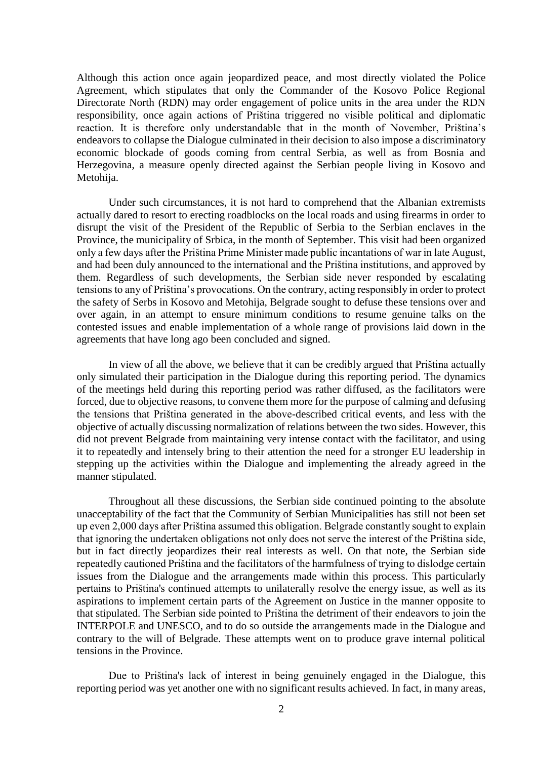Although this action once again jeopardized peace, and most directly violated the Police Agreement, which stipulates that only the Commander of the Kosovo Police Regional Directorate North (RDN) may order engagement of police units in the area under the RDN responsibility, once again actions of Priština triggered no visible political and diplomatic reaction. It is therefore only understandable that in the month of November, Priština's endeavors to collapse the Dialogue culminated in their decision to also impose a discriminatory economic blockade of goods coming from central Serbia, as well as from Bosnia and Herzegovina, a measure openly directed against the Serbian people living in Kosovo and Metohija.

Under such circumstances, it is not hard to comprehend that the Albanian extremists actually dared to resort to erecting roadblocks on the local roads and using firearms in order to disrupt the visit of the President of the Republic of Serbia to the Serbian enclaves in the Province, the municipality of Srbica, in the month of September. This visit had been organized only a few days after the Priština Prime Minister made public incantations of war in late August, and had been duly announced to the international and the Priština institutions, and approved by them. Regardless of such developments, the Serbian side never responded by escalating tensions to any of Priština's provocations. On the contrary, acting responsibly in order to protect the safety of Serbs in Kosovo and Metohija, Belgrade sought to defuse these tensions over and over again, in an attempt to ensure minimum conditions to resume genuine talks on the contested issues and enable implementation of a whole range of provisions laid down in the agreements that have long ago been concluded and signed.

In view of all the above, we believe that it can be credibly argued that Priština actually only simulated their participation in the Dialogue during this reporting period. The dynamics of the meetings held during this reporting period was rather diffused, as the facilitators were forced, due to objective reasons, to convene them more for the purpose of calming and defusing the tensions that Priština generated in the above-described critical events, and less with the objective of actually discussing normalization of relations between the two sides. However, this did not prevent Belgrade from maintaining very intense contact with the facilitator, and using it to repeatedly and intensely bring to their attention the need for a stronger EU leadership in stepping up the activities within the Dialogue and implementing the already agreed in the manner stipulated.

Throughout all these discussions, the Serbian side continued pointing to the absolute unacceptability of the fact that the Community of Serbian Municipalities has still not been set up even 2,000 days after Priština assumed this obligation. Belgrade constantly sought to explain that ignoring the undertaken obligations not only does not serve the interest of the Priština side, but in fact directly jeopardizes their real interests as well. On that note, the Serbian side repeatedly cautioned Priština and the facilitators of the harmfulness of trying to dislodge certain issues from the Dialogue and the arrangements made within this process. This particularly pertains to Priština's continued attempts to unilaterally resolve the energy issue, as well as its aspirations to implement certain parts of the Agreement on Justice in the manner opposite to that stipulated. The Serbian side pointed to Priština the detriment of their endeavors to join the INTERPOLE and UNESCO, and to do so outside the arrangements made in the Dialogue and contrary to the will of Belgrade. These attempts went on to produce grave internal political tensions in the Province.

Due to Priština's lack of interest in being genuinely engaged in the Dialogue, this reporting period was yet another one with no significant results achieved. In fact, in many areas,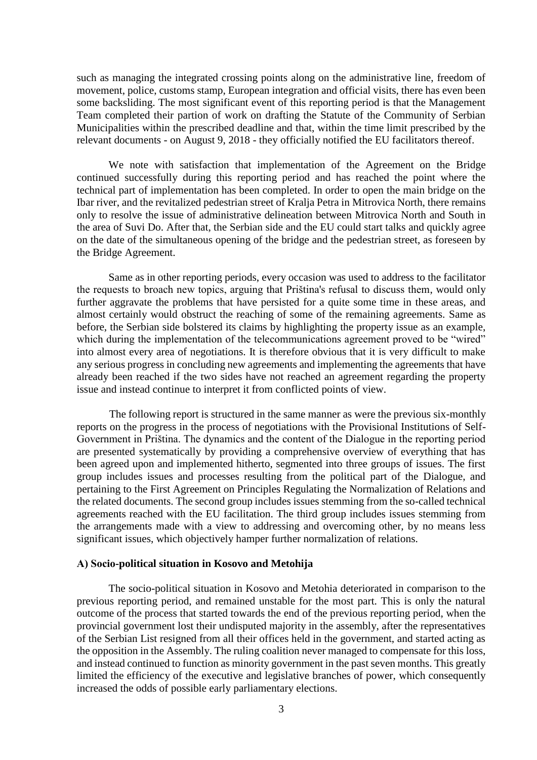such as managing the integrated crossing points along on the administrative line, freedom of movement, police, customs stamp, European integration and official visits, there has even been some backsliding. The most significant event of this reporting period is that the Management Team completed their partion of work on drafting the Statute of the Community of Serbian Municipalities within the prescribed deadline and that, within the time limit prescribed by the relevant documents - on August 9, 2018 - they officially notified the EU facilitators thereof.

We note with satisfaction that implementation of the Agreement on the Bridge continued successfully during this reporting period and has reached the point where the technical part of implementation has been completed. In order to open the main bridge on the Ibar river, and the revitalized pedestrian street of Kralja Petra in Mitrovica North, there remains only to resolve the issue of administrative delineation between Mitrovica North and South in the area of Suvi Do. After that, the Serbian side and the EU could start talks and quickly agree on the date of the simultaneous opening of the bridge and the pedestrian street, as foreseen by the Bridge Agreement.

Same as in other reporting periods, every occasion was used to address to the facilitator the requests to broach new topics, arguing that Priština's refusal to discuss them, would only further aggravate the problems that have persisted for a quite some time in these areas, and almost certainly would obstruct the reaching of some of the remaining agreements. Same as before, the Serbian side bolstered its claims by highlighting the property issue as an example, which during the implementation of the telecommunications agreement proved to be "wired" into almost every area of negotiations. It is therefore obvious that it is very difficult to make any serious progress in concluding new agreements and implementing the agreements that have already been reached if the two sides have not reached an agreement regarding the property issue and instead continue to interpret it from conflicted points of view.

The following report is structured in the same manner as were the previous six-monthly reports on the progress in the process of negotiations with the Provisional Institutions of Self-Government in Priština. The dynamics and the content of the Dialogue in the reporting period are presented systematically by providing a comprehensive overview of everything that has been agreed upon and implemented hitherto, segmented into three groups of issues. The first group includes issues and processes resulting from the political part of the Dialogue, and pertaining to the First Agreement on Principles Regulating the Normalization of Relations and the related documents. The second group includes issues stemming from the so-called technical agreements reached with the EU facilitation. The third group includes issues stemming from the arrangements made with a view to addressing and overcoming other, by no means less significant issues, which objectively hamper further normalization of relations.

### **А) Socio-political situation in Kosovo and Metohija**

The socio-political situation in Kosovo and Metohia deteriorated in comparison to the previous reporting period, and remained unstable for the most part. This is only the natural outcome of the process that started towards the end of the previous reporting period, when the provincial government lost their undisputed majority in the assembly, after the representatives of the Serbian List resigned from all their offices held in the government, and started acting as the opposition in the Assembly. The ruling coalition never managed to compensate for this loss, and instead continued to function as minority government in the past seven months. This greatly limited the efficiency of the executive and legislative branches of power, which consequently increased the odds of possible early parliamentary elections.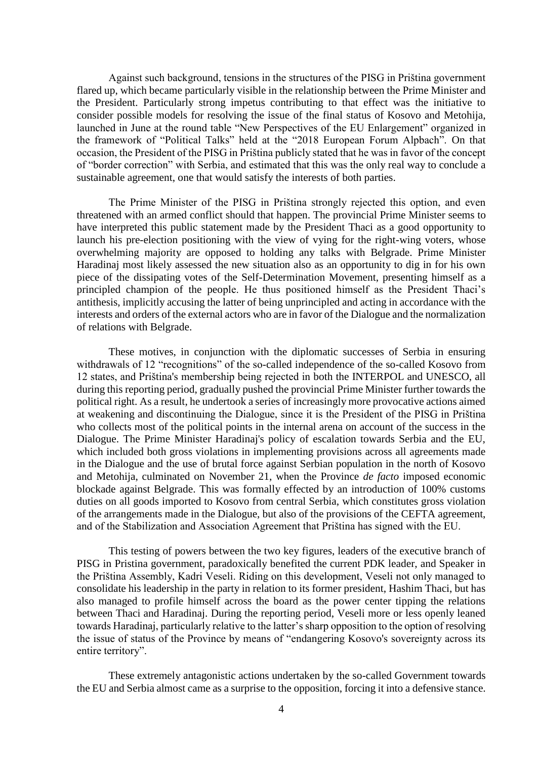Against such background, tensions in the structures of the PISG in Priština government flared up, which became particularly visible in the relationship between the Prime Minister and the President. Particularly strong impetus contributing to that effect was the initiative to consider possible models for resolving the issue of the final status of Kosovo and Metohija, launched in June at the round table "New Perspectives of the EU Enlargement" organized in the framework of "Political Talks" held at the "2018 European Forum Alpbach". On that occasion, the President of the PISG in Priština publicly stated that he was in favor of the concept of "border correction" with Serbia, and estimated that this was the only real way to conclude a sustainable agreement, one that would satisfy the interests of both parties.

The Prime Minister of the PISG in Priština strongly rejected this option, and even threatened with an armed conflict should that happen. The provincial Prime Minister seems to have interpreted this public statement made by the President Thaci as a good opportunity to launch his pre-election positioning with the view of vying for the right-wing voters, whose overwhelming majority are opposed to holding any talks with Belgrade. Prime Minister Haradinaj most likely assessed the new situation also as an opportunity to dig in for his own piece of the dissipating votes of the Self-Determination Movement, presenting himself as a principled champion of the people. He thus positioned himself as the President Thaci's antithesis, implicitly accusing the latter of being unprincipled and acting in accordance with the interests and orders of the external actors who are in favor of the Dialogue and the normalization of relations with Belgrade.

These motives, in conjunction with the diplomatic successes of Serbia in ensuring withdrawals of 12 "recognitions" of the so-called independence of the so-called Kosovo from 12 states, and Priština's membership being rejected in both the INTERPOL and UNESCO, all during this reporting period, gradually pushed the provincial Prime Minister further towards the political right. As a result, he undertook a series of increasingly more provocative actions aimed at weakening and discontinuing the Dialogue, since it is the President of the PISG in Priština who collects most of the political points in the internal arena on account of the success in the Dialogue. The Prime Minister Haradinaj's policy of escalation towards Serbia and the EU, which included both gross violations in implementing provisions across all agreements made in the Dialogue and the use of brutal force against Serbian population in the north of Kosovo and Metohija, culminated on November 21, when the Province *de facto* imposed economic blockade against Belgrade. This was formally effected by an introduction of 100% customs duties on all goods imported to Kosovo from central Serbia, which constitutes gross violation of the arrangements made in the Dialogue, but also of the provisions of the CEFTA agreement, and of the Stabilization and Association Agreement that Priština has signed with the EU.

This testing of powers between the two key figures, leaders of the executive branch of PISG in Pristina government, paradoxically benefited the current PDK leader, and Speaker in the Priština Assembly, Kadri Veseli. Riding on this development, Veseli not only managed to consolidate his leadership in the party in relation to its former president, Hashim Thaci, but has also managed to profile himself across the board as the power center tipping the relations between Thaci and Haradinaj. During the reporting period, Veseli more or less openly leaned towards Haradinaj, particularly relative to the latter's sharp opposition to the option of resolving the issue of status of the Province by means of "endangering Kosovo's sovereignty across its entire territory".

These extremely antagonistic actions undertaken by the so-called Government towards the EU and Serbia almost came as a surprise to the opposition, forcing it into a defensive stance.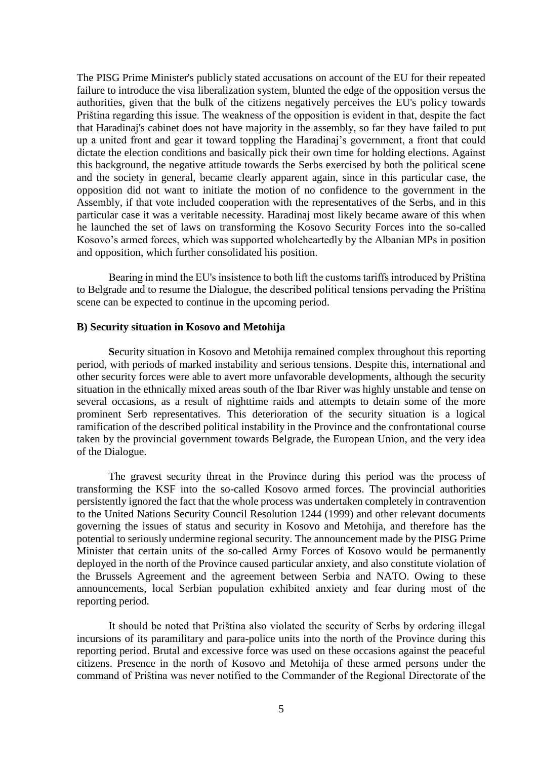The PISG Prime Minister's publicly stated accusations on account of the EU for their repeated failure to introduce the visa liberalization system, blunted the edge of the opposition versus the authorities, given that the bulk of the citizens negatively perceives the EU's policy towards Priština regarding this issue. The weakness of the opposition is evident in that, despite the fact that Haradinaj's cabinet does not have majority in the assembly, so far they have failed to put up a united front and gear it toward toppling the Haradinaj's government, a front that could dictate the election conditions and basically pick their own time for holding elections. Against this background, the negative attitude towards the Serbs exercised by both the political scene and the society in general, became clearly apparent again, since in this particular case, the opposition did not want to initiate the motion of no confidence to the government in the Assembly, if that vote included cooperation with the representatives of the Serbs, and in this particular case it was a veritable necessity. Haradinaj most likely became aware of this when he launched the set of laws on transforming the Kosovo Security Forces into the so-called Kosovo's armed forces, which was supported wholeheartedly by the Albanian MPs in position and opposition, which further consolidated his position.

Bearing in mind the EU's insistence to both lift the customs tariffs introduced by Priština to Belgrade and to resume the Dialogue, the described political tensions pervading the Priština scene can be expected to continue in the upcoming period.

#### **B) Security situation in Kosovo and Metohija**

**S**ecurity situation in Kosovo and Metohija remained complex throughout this reporting period, with periods of marked instability and serious tensions. Despite this, international and other security forces were able to avert more unfavorable developments, although the security situation in the ethnically mixed areas south of the Ibar River was highly unstable and tense on several occasions, as a result of nighttime raids and attempts to detain some of the more prominent Serb representatives. This deterioration of the security situation is a logical ramification of the described political instability in the Province and the confrontational course taken by the provincial government towards Belgrade, the European Union, and the very idea of the Dialogue.

The gravest security threat in the Province during this period was the process of transforming the KSF into the so-called Kosovo armed forces. The provincial authorities persistently ignored the fact that the whole process was undertaken completely in contravention to the United Nations Security Council Resolution 1244 (1999) and other relevant documents governing the issues of status and security in Kosovo and Metohija, and therefore has the potential to seriously undermine regional security. The announcement made by the PISG Prime Minister that certain units of the so-called Army Forces of Kosovo would be permanently deployed in the north of the Province caused particular anxiety, and also constitute violation of the Brussels Agreement and the agreement between Serbia and NATO. Owing to these announcements, local Serbian population exhibited anxiety and fear during most of the reporting period.

It should be noted that Priština also violated the security of Serbs by ordering illegal incursions of its paramilitary and para-police units into the north of the Province during this reporting period. Brutal and excessive force was used on these occasions against the peaceful citizens. Presence in the north of Kosovo and Metohija of these armed persons under the command of Priština was never notified to the Commander of the Regional Directorate of the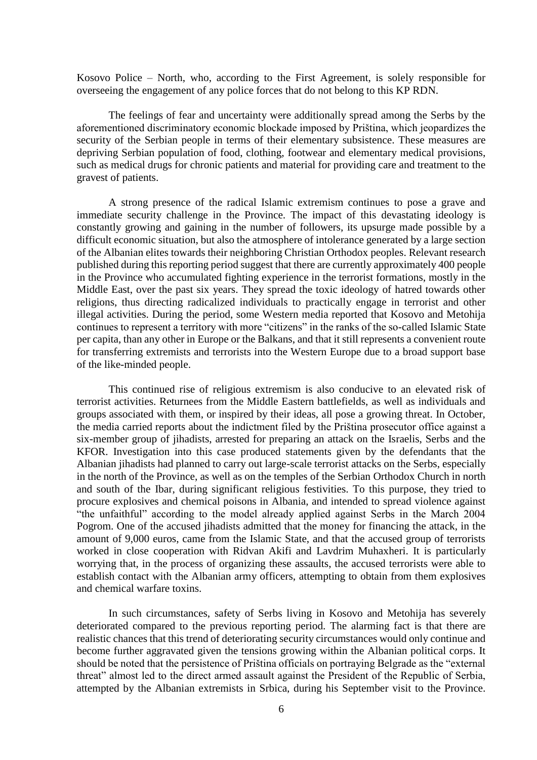Kosovo Police – North, who, according to the First Agreement, is solely responsible for overseeing the engagement of any police forces that do not belong to this KP RDN.

The feelings of fear and uncertainty were additionally spread among the Serbs by the aforementioned discriminatory economic blockade imposed by Priština, which jeopardizes the security of the Serbian people in terms of their elementary subsistence. These measures are depriving Serbian population of food, clothing, footwear and elementary medical provisions, such as medical drugs for chronic patients and material for providing care and treatment to the gravest of patients.

A strong presence of the radical Islamic extremism continues to pose a grave and immediate security challenge in the Province. The impact of this devastating ideology is constantly growing and gaining in the number of followers, its upsurge made possible by a difficult economic situation, but also the atmosphere of intolerance generated by a large section of the Albanian elites towards their neighboring Christian Orthodox peoples. Relevant research published during this reporting period suggest that there are currently approximately 400 people in the Province who accumulated fighting experience in the terrorist formations, mostly in the Middle East, over the past six years. They spread the toxic ideology of hatred towards other religions, thus directing radicalized individuals to practically engage in terrorist and other illegal activities. During the period, some Western media reported that Kosovo and Metohija continues to represent a territory with more "citizens" in the ranks of the so-called Islamic State per capita, than any other in Europe or the Balkans, and that it still represents a convenient route for transferring extremists and terrorists into the Western Europe due to a broad support base of the like-minded people.

This continued rise of religious extremism is also conducive to an elevated risk of terrorist activities. Returnees from the Middle Eastern battlefields, as well as individuals and groups associated with them, or inspired by their ideas, all pose a growing threat. In October, the media carried reports about the indictment filed by the Priština prosecutor office against a six-member group of jihadists, arrested for preparing an attack on the Israelis, Serbs and the KFOR. Investigation into this case produced statements given by the defendants that the Albanian jihadists had planned to carry out large-scale terrorist attacks on the Serbs, especially in the north of the Province, as well as on the temples of the Serbian Orthodox Church in north and south of the Ibar, during significant religious festivities. To this purpose, they tried to procure explosives and chemical poisons in Albania, and intended to spread violence against "the unfaithful" according to the model already applied against Serbs in the March 2004 Pogrom. One of the accused jihadists admitted that the money for financing the attack, in the amount of 9,000 euros, came from the Islamic State, and that the accused group of terrorists worked in close cooperation with Ridvan Akifi and Lavdrim Muhaxheri. It is particularly worrying that, in the process of organizing these assaults, the accused terrorists were able to establish contact with the Albanian army officers, attempting to obtain from them explosives and chemical warfare toxins.

In such circumstances, safety of Serbs living in Kosovo and Metohija has severely deteriorated compared to the previous reporting period. The alarming fact is that there are realistic chances that this trend of deteriorating security circumstances would only continue and become further aggravated given the tensions growing within the Albanian political corps. It should be noted that the persistence of Priština officials on portraying Belgrade as the "external threat" almost led to the direct armed assault against the President of the Republic of Serbia, attempted by the Albanian extremists in Srbica, during his September visit to the Province.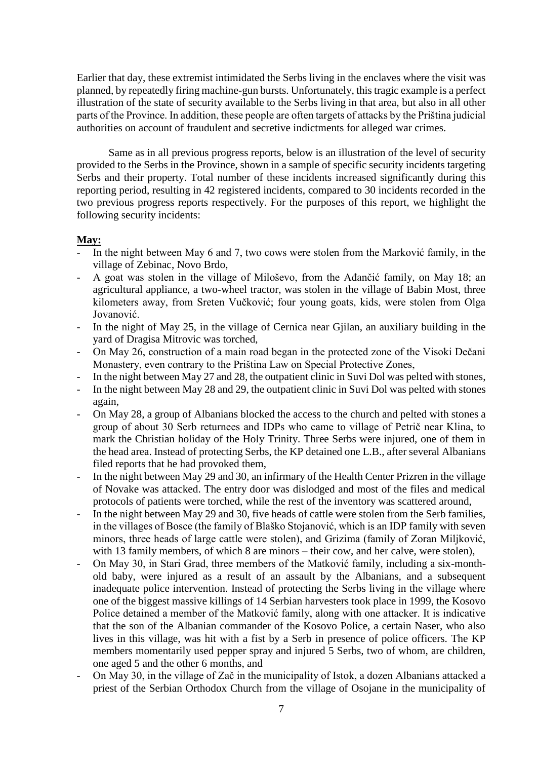Earlier that day, these extremist intimidated the Serbs living in the enclaves where the visit was planned, by repeatedly firing machine-gun bursts. Unfortunately, this tragic example is a perfect illustration of the state of security available to the Serbs living in that area, but also in all other parts of the Province. In addition, these people are often targets of attacks by the Priština judicial authorities on account of fraudulent and secretive indictments for alleged war crimes.

Same as in all previous progress reports, below is an illustration of the level of security provided to the Serbs in the Province, shown in a sample of specific security incidents targeting Serbs and their property. Total number of these incidents increased significantly during this reporting period, resulting in 42 registered incidents, compared to 30 incidents recorded in the two previous progress reports respectively. For the purposes of this report, we highlight the following security incidents:

## **May:**

- In the night between May 6 and 7, two cows were stolen from the Marković family, in the village of Zebinac, Novo Brdo,
- A goat was stolen in the village of Miloševo, from the Ađančić family, on May 18; an agricultural appliance, a two-wheel tractor, was stolen in the village of Babin Most, three kilometers away, from Sreten Vučković; four young goats, kids, were stolen from Olga Jovanović.
- In the night of May 25, in the village of Cernica near Gillan, an auxiliary building in the yard of Dragisa Mitrovic was torched,
- On May 26, construction of a main road began in the protected zone of the Visoki Dečani Monastery, even contrary to the Priština Law on Special Protective Zones,
- In the night between May 27 and 28, the outpatient clinic in Suvi Dol was pelted with stones,
- In the night between May 28 and 29, the outpatient clinic in Suvi Dol was pelted with stones again,
- On May 28, a group of Albanians blocked the access to the church and pelted with stones a group of about 30 Serb returnees and IDPs who came to village of Petrič near Klina, to mark the Christian holiday of the Holy Trinity. Three Serbs were injured, one of them in the head area. Instead of protecting Serbs, the KP detained one L.B., after several Albanians filed reports that he had provoked them,
- In the night between May 29 and 30, an infirmary of the Health Center Prizren in the village of Novake was attacked. The entry door was dislodged and most of the files and medical protocols of patients were torched, while the rest of the inventory was scattered around,
- In the night between May 29 and 30, five heads of cattle were stolen from the Serb families, in the villages of Bosce (the family of Blaško Stojanović, which is an IDP family with seven minors, three heads of large cattle were stolen), and Grizima (family of Zoran Miljković, with 13 family members, of which 8 are minors – their cow, and her calve, were stolen),
- On May 30, in Stari Grad, three members of the Matković family, including a six-monthold baby, were injured as a result of an assault by the Albanians, and a subsequent inadequate police intervention. Instead of protecting the Serbs living in the village where one of the biggest massive killings of 14 Serbian harvesters took place in 1999, the Kosovo Police detained a member of the Matković family, along with one attacker. It is indicative that the son of the Albanian commander of the Kosovo Police, a certain Naser, who also lives in this village, was hit with a fist by a Serb in presence of police officers. The KP members momentarily used pepper spray and injured 5 Serbs, two of whom, are children, one aged 5 and the other 6 months, and
- On May 30, in the village of Zač in the municipality of Istok, a dozen Albanians attacked a priest of the Serbian Orthodox Church from the village of Osojane in the municipality of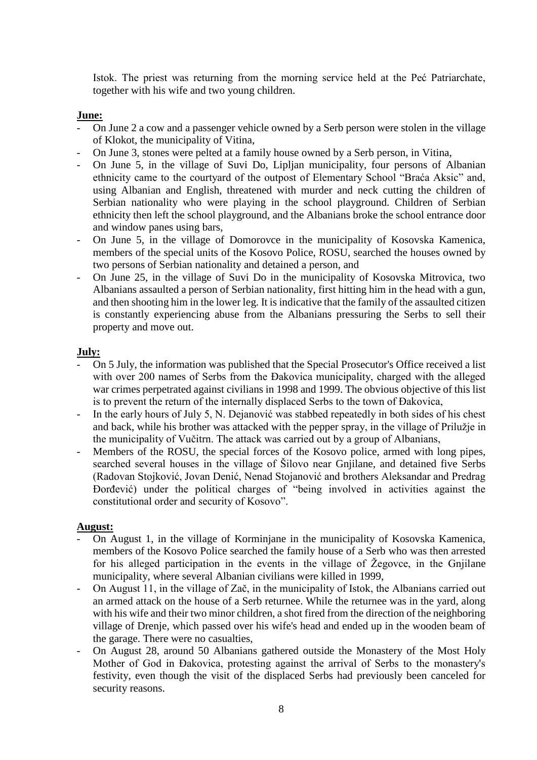Istok. The priest was returning from the morning service held at the Peć Patriarchate, together with his wife and two young children.

## **June:**

- On June 2 a cow and a passenger vehicle owned by a Serb person were stolen in the village of Klokot, the municipality of Vitina,
- On June 3, stones were pelted at a family house owned by a Serb person, in Vitina,
- On June 5, in the village of Suvi Do, Lipljan municipality, four persons of Albanian ethnicity came to the courtyard of the outpost of Elementary School "Braća Aksic" and, using Albanian and English, threatened with murder and neck cutting the children of Serbian nationality who were playing in the school playground. Children of Serbian ethnicity then left the school playground, and the Albanians broke the school entrance door and window panes using bars,
- On June 5, in the village of Domorovce in the municipality of Kosovska Kamenica, members of the special units of the Kosovo Police, ROSU, searched the houses owned by two persons of Serbian nationality and detained a person, and
- On June 25, in the village of Suvi Do in the municipality of Kosovska Mitrovica, two Albanians assaulted a person of Serbian nationality, first hitting him in the head with a gun, and then shooting him in the lower leg. It is indicative that the family of the assaulted citizen is constantly experiencing abuse from the Albanians pressuring the Serbs to sell their property and move out.

## **July:**

- On 5 July, the information was published that the Special Prosecutor's Office received a list with over 200 names of Serbs from the Đakovica municipality, charged with the alleged war crimes perpetrated against civilians in 1998 and 1999. The obvious objective of this list is to prevent the return of the internally displaced Serbs to the town of Đakovica,
- In the early hours of July 5, N. Dejanović was stabbed repeatedly in both sides of his chest and back, while his brother was attacked with the pepper spray, in the village of Prilužje in the municipality of Vučitrn. The attack was carried out by a group of Albanians,
- Members of the ROSU, the special forces of the Kosovo police, armed with long pipes, searched several houses in the village of Šilovo near Gnjilane, and detained five Serbs (Radovan Stojković, Jovan Denić, Nenad Stojanović and brothers Aleksandar and Predrag Đorđević) under the political charges of "being involved in activities against the constitutional order and security of Kosovo".

## **August:**

- On August 1, in the village of Korminjane in the municipality of Kosovska Kamenica, members of the Kosovo Police searched the family house of a Serb who was then arrested for his alleged participation in the events in the village of Žegovce, in the Gnjilane municipality, where several Albanian civilians were killed in 1999,
- On August 11, in the village of Zač, in the municipality of Istok, the Albanians carried out an armed attack on the house of a Serb returnee. While the returnee was in the yard, along with his wife and their two minor children, a shot fired from the direction of the neighboring village of Drenje, which passed over his wife's head and ended up in the wooden beam of the garage. There were no casualties,
- On August 28, around 50 Albanians gathered outside the Monastery of the Most Holy Mother of God in Đakovica, protesting against the arrival of Serbs to the monastery's festivity, even though the visit of the displaced Serbs had previously been canceled for security reasons.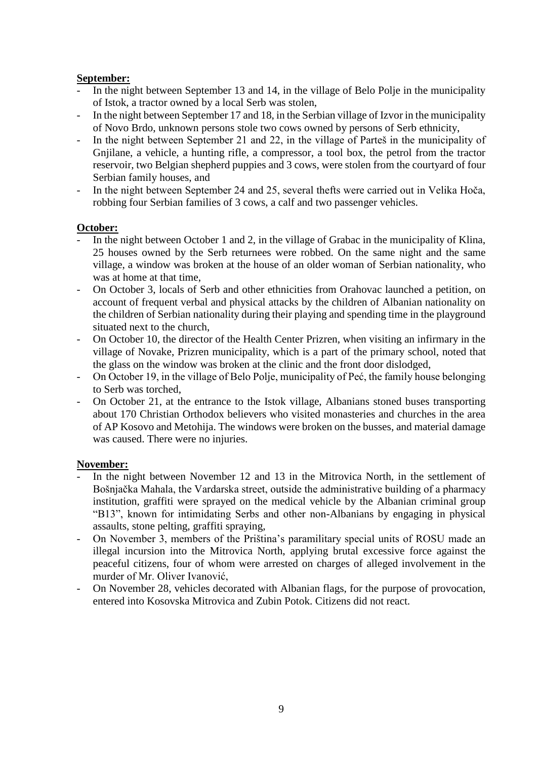## **September:**

- In the night between September 13 and 14, in the village of Belo Polje in the municipality of Istok, a tractor owned by a local Serb was stolen,
- In the night between September 17 and 18, in the Serbian village of Izvor in the municipality of Novo Brdo, unknown persons stole two cows owned by persons of Serb ethnicity,
- In the night between September 21 and 22, in the village of Parteš in the municipality of Gnjilane, a vehicle, a hunting rifle, a compressor, a tool box, the petrol from the tractor reservoir, two Belgian shepherd puppies and 3 cows, were stolen from the courtyard of four Serbian family houses, and
- In the night between September 24 and 25, several thefts were carried out in Velika Hoča, robbing four Serbian families of 3 cows, a calf and two passenger vehicles.

## **October:**

- In the night between October 1 and 2, in the village of Grabac in the municipality of Klina, 25 houses owned by the Serb returnees were robbed. On the same night and the same village, a window was broken at the house of an older woman of Serbian nationality, who was at home at that time,
- On October 3, locals of Serb and other ethnicities from Orahovac launched a petition, on account of frequent verbal and physical attacks by the children of Albanian nationality on the children of Serbian nationality during their playing and spending time in the playground situated next to the church,
- On October 10, the director of the Health Center Prizren, when visiting an infirmary in the village of Novake, Prizren municipality, which is a part of the primary school, noted that the glass on the window was broken at the clinic and the front door dislodged,
- On October 19, in the village of Belo Polje, municipality of Peć, the family house belonging to Serb was torched,
- On October 21, at the entrance to the Istok village, Albanians stoned buses transporting about 170 Christian Orthodox believers who visited monasteries and churches in the area of AP Kosovo and Metohija. The windows were broken on the busses, and material damage was caused. There were no injuries.

## **November:**

- In the night between November 12 and 13 in the Mitrovica North, in the settlement of Bošnjačka Mahala, the Vardarska street, outside the administrative building of a pharmacy institution, graffiti were sprayed on the medical vehicle by the Albanian criminal group "B13", known for intimidating Serbs and other non-Albanians by engaging in physical assaults, stone pelting, graffiti spraying,
- On November 3, members of the Priština's paramilitary special units of ROSU made an illegal incursion into the Mitrovica North, applying brutal excessive force against the peaceful citizens, four of whom were arrested on charges of alleged involvement in the murder of Mr. Oliver Ivanović,
- On November 28, vehicles decorated with Albanian flags, for the purpose of provocation, entered into Kosovska Mitrovica and Zubin Potok. Citizens did not react.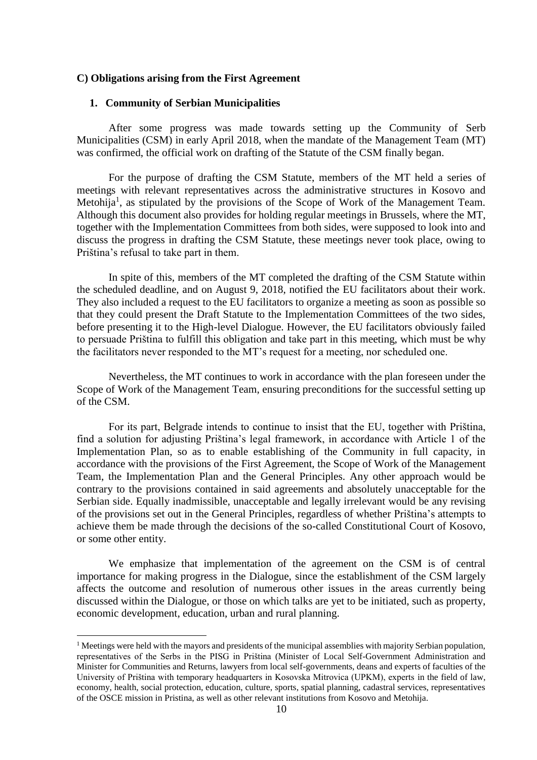## **C) Obligations arising from the First Agreement**

## **1. Community of Serbian Municipalities**

After some progress was made towards setting up the Community of Serb Municipalities (CSM) in early April 2018, when the mandate of the Management Team (MT) was confirmed, the official work on drafting of the Statute of the CSM finally began.

For the purpose of drafting the CSM Statute, members of the MT held a series of meetings with relevant representatives across the administrative structures in Kosovo and Metohija<sup>1</sup>, as stipulated by the provisions of the Scope of Work of the Management Team. Although this document also provides for holding regular meetings in Brussels, where the MT, together with the Implementation Committees from both sides, were supposed to look into and discuss the progress in drafting the CSM Statute, these meetings never took place, owing to Priština's refusal to take part in them.

In spite of this, members of the MT completed the drafting of the CSM Statute within the scheduled deadline, and on August 9, 2018, notified the EU facilitators about their work. They also included a request to the EU facilitators to organize a meeting as soon as possible so that they could present the Draft Statute to the Implementation Committees of the two sides, before presenting it to the High-level Dialogue. However, the EU facilitators obviously failed to persuade Priština to fulfill this obligation and take part in this meeting, which must be why the facilitators never responded to the MT's request for a meeting, nor scheduled one.

Nevertheless, the MT continues to work in accordance with the plan foreseen under the Scope of Work of the Management Team, ensuring preconditions for the successful setting up of the CSM.

For its part, Belgrade intends to continue to insist that the EU, together with Priština, find a solution for adjusting Priština's legal framework, in accordance with Article 1 of the Implementation Plan, so as to enable establishing of the Community in full capacity, in accordance with the provisions of the First Agreement, the Scope of Work of the Management Team, the Implementation Plan and the General Principles. Any other approach would be contrary to the provisions contained in said agreements and absolutely unacceptable for the Serbian side. Equally inadmissible, unacceptable and legally irrelevant would be any revising of the provisions set out in the General Principles, regardless of whether Priština's attempts to achieve them be made through the decisions of the so-called Constitutional Court of Kosovo, or some other entity.

We emphasize that implementation of the agreement on the CSM is of central importance for making progress in the Dialogue, since the establishment of the CSM largely affects the outcome and resolution of numerous other issues in the areas currently being discussed within the Dialogue, or those on which talks are yet to be initiated, such as property, economic development, education, urban and rural planning.

<u>.</u>

<sup>&</sup>lt;sup>1</sup> Meetings were held with the mayors and presidents of the municipal assemblies with majority Serbian population, representatives of the Serbs in the PISG in Priština (Minister of Local Self-Government Administration and Minister for Communities and Returns, lawyers from local self-governments, deans and experts of faculties of the University of Priština with temporary headquarters in Kosovska Mitrovica (UPKM), experts in the field of law, economy, health, social protection, education, culture, sports, spatial planning, cadastral services, representatives of the OSCE mission in Pristina, as well as other relevant institutions from Kosovo and Metohija.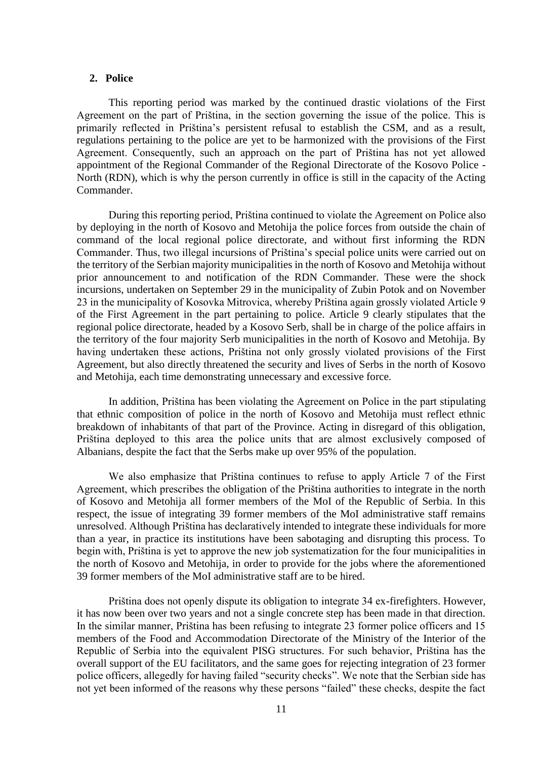### **2. Police**

This reporting period was marked by the continued drastic violations of the First Agreement on the part of Priština, in the section governing the issue of the police. This is primarily reflected in Priština's persistent refusal to establish the CSM, and as a result, regulations pertaining to the police are yet to be harmonized with the provisions of the First Agreement. Consequently, such an approach on the part of Priština has not yet allowed appointment of the Regional Commander of the Regional Directorate of the Kosovo Police - North (RDN), which is why the person currently in office is still in the capacity of the Acting Commander.

During this reporting period, Priština continued to violate the Agreement on Police also by deploying in the north of Kosovo and Metohija the police forces from outside the chain of command of the local regional police directorate, and without first informing the RDN Commander. Thus, two illegal incursions of Priština's special police units were carried out on the territory of the Serbian majority municipalities in the north of Kosovo and Metohija without prior announcement to and notification of the RDN Commander. These were the shock incursions, undertaken on September 29 in the municipality of Zubin Potok and on November 23 in the municipality of Kosovka Mitrovica, whereby Priština again grossly violated Article 9 of the First Agreement in the part pertaining to police. Article 9 clearly stipulates that the regional police directorate, headed by a Kosovo Serb, shall be in charge of the police affairs in the territory of the four majority Serb municipalities in the north of Kosovo and Metohija. By having undertaken these actions, Priština not only grossly violated provisions of the First Agreement, but also directly threatened the security and lives of Serbs in the north of Kosovo and Metohija, each time demonstrating unnecessary and excessive force.

In addition, Priština has been violating the Agreement on Police in the part stipulating that ethnic composition of police in the north of Kosovo and Metohija must reflect ethnic breakdown of inhabitants of that part of the Province. Acting in disregard of this obligation, Priština deployed to this area the police units that are almost exclusively composed of Albanians, despite the fact that the Serbs make up over 95% of the population.

We also emphasize that Priština continues to refuse to apply Article 7 of the First Agreement, which prescribes the obligation of the Priština authorities to integrate in the north of Kosovo and Metohija all former members of the MoI of the Republic of Serbia. In this respect, the issue of integrating 39 former members of the MoI administrative staff remains unresolved. Although Priština has declaratively intended to integrate these individuals for more than a year, in practice its institutions have been sabotaging and disrupting this process. To begin with, Priština is yet to approve the new job systematization for the four municipalities in the north of Kosovo and Metohija, in order to provide for the jobs where the aforementioned 39 former members of the MoI administrative staff are to be hired.

Priština does not openly dispute its obligation to integrate 34 ex-firefighters. However, it has now been over two years and not a single concrete step has been made in that direction. In the similar manner, Priština has been refusing to integrate 23 former police officers and 15 members of the Food and Accommodation Directorate of the Ministry of the Interior of the Republic of Serbia into the equivalent PISG structures. For such behavior, Priština has the overall support of the EU facilitators, and the same goes for rejecting integration of 23 former police officers, allegedly for having failed "security checks". We note that the Serbian side has not yet been informed of the reasons why these persons "failed" these checks, despite the fact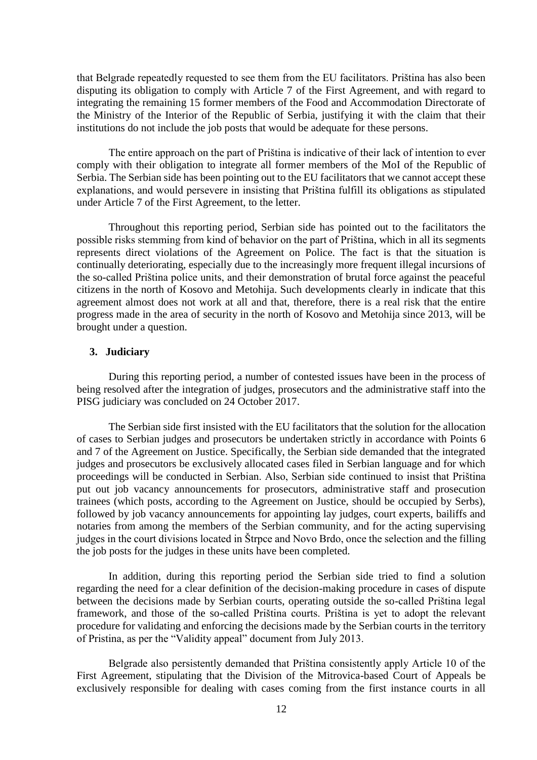that Belgrade repeatedly requested to see them from the EU facilitators. Priština has also been disputing its obligation to comply with Article 7 of the First Agreement, and with regard to integrating the remaining 15 former members of the Food and Accommodation Directorate of the Ministry of the Interior of the Republic of Serbia, justifying it with the claim that their institutions do not include the job posts that would be adequate for these persons.

The entire approach on the part of Priština is indicative of their lack of intention to ever comply with their obligation to integrate all former members of the MoI of the Republic of Serbia. The Serbian side has been pointing out to the EU facilitators that we cannot accept these explanations, and would persevere in insisting that Priština fulfill its obligations as stipulated under Article 7 of the First Agreement, to the letter.

Throughout this reporting period, Serbian side has pointed out to the facilitators the possible risks stemming from kind of behavior on the part of Priština, which in all its segments represents direct violations of the Agreement on Police. The fact is that the situation is continually deteriorating, especially due to the increasingly more frequent illegal incursions of the so-called Priština police units, and their demonstration of brutal force against the peaceful citizens in the north of Kosovo and Metohija. Such developments clearly in indicate that this agreement almost does not work at all and that, therefore, there is a real risk that the entire progress made in the area of security in the north of Kosovo and Metohija since 2013, will be brought under a question.

## **3. Judiciary**

During this reporting period, a number of contested issues have been in the process of being resolved after the integration of judges, prosecutors and the administrative staff into the PISG judiciary was concluded on 24 October 2017.

The Serbian side first insisted with the EU facilitators that the solution for the allocation of cases to Serbian judges and prosecutors be undertaken strictly in accordance with Points 6 and 7 of the Agreement on Justice. Specifically, the Serbian side demanded that the integrated judges and prosecutors be exclusively allocated cases filed in Serbian language and for which proceedings will be conducted in Serbian. Also, Serbian side continued to insist that Priština put out job vacancy announcements for prosecutors, administrative staff and prosecution trainees (which posts, according to the Agreement on Justice, should be occupied by Serbs), followed by job vacancy announcements for appointing lay judges, court experts, bailiffs and notaries from among the members of the Serbian community, and for the acting supervising judges in the court divisions located in Štrpce and Novo Brdo, once the selection and the filling the job posts for the judges in these units have been completed.

In addition, during this reporting period the Serbian side tried to find a solution regarding the need for a clear definition of the decision-making procedure in cases of dispute between the decisions made by Serbian courts, operating outside the so-called Priština legal framework, and those of the so-called Priština courts. Priština is yet to adopt the relevant procedure for validating and enforcing the decisions made by the Serbian courts in the territory of Pristina, as per the "Validity appeal" document from July 2013.

Belgrade also persistently demanded that Priština consistently apply Article 10 of the First Agreement, stipulating that the Division of the Mitrovica-based Court of Appeals be exclusively responsible for dealing with cases coming from the first instance courts in all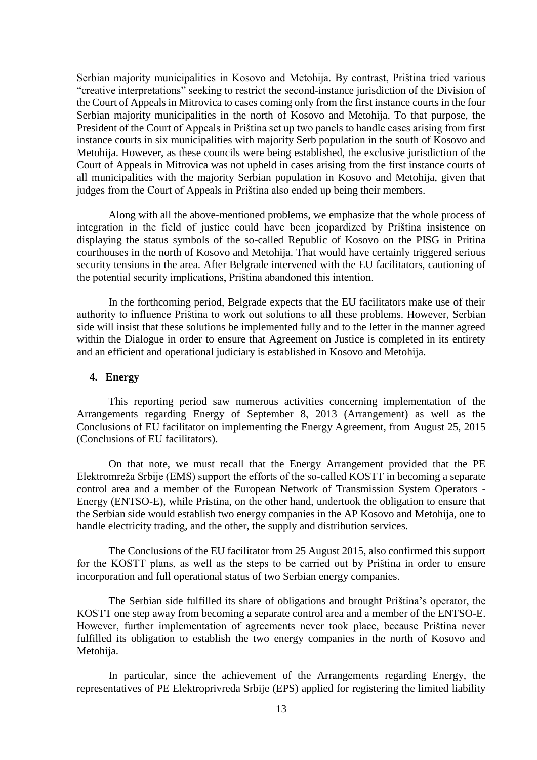Serbian majority municipalities in Kosovo and Metohija. By contrast, Priština tried various "creative interpretations" seeking to restrict the second-instance jurisdiction of the Division of the Court of Appeals in Mitrovica to cases coming only from the first instance courts in the four Serbian majority municipalities in the north of Kosovo and Metohija. To that purpose, the President of the Court of Appeals in Priština set up two panels to handle cases arising from first instance courts in six municipalities with majority Serb population in the south of Kosovo and Metohija. However, as these councils were being established, the exclusive jurisdiction of the Court of Appeals in Mitrovica was not upheld in cases arising from the first instance courts of all municipalities with the majority Serbian population in Kosovo and Metohija, given that judges from the Court of Appeals in Priština also ended up being their members.

Along with all the above-mentioned problems, we emphasize that the whole process of integration in the field of justice could have been jeopardized by Priština insistence on displaying the status symbols of the so-called Republic of Kosovo on the PISG in Pritina courthouses in the north of Kosovo and Metohija. That would have certainly triggered serious security tensions in the area. After Belgrade intervened with the EU facilitators, cautioning of the potential security implications, Priština abandoned this intention.

In the forthcoming period, Belgrade expects that the EU facilitators make use of their authority to influence Priština to work out solutions to all these problems. However, Serbian side will insist that these solutions be implemented fully and to the letter in the manner agreed within the Dialogue in order to ensure that Agreement on Justice is completed in its entirety and an efficient and operational judiciary is established in Kosovo and Metohija.

### **4. Energy**

This reporting period saw numerous activities concerning implementation of the Arrangements regarding Energy of September 8, 2013 (Arrangement) as well as the Conclusions of EU facilitator on implementing the Energy Agreement, from August 25, 2015 (Conclusions of EU facilitators).

On that note, we must recall that the Energy Arrangement provided that the PE Elektromreža Srbije (EMS) support the efforts of the so-called KOSTT in becoming a separate control area and a member of the European Network of Transmission System Operators - Energy (ENTSO-E), while Pristina, on the other hand, undertook the obligation to ensure that the Serbian side would establish two energy companies in the AP Kosovo and Metohija, one to handle electricity trading, and the other, the supply and distribution services.

The Conclusions of the EU facilitator from 25 August 2015, also confirmed this support for the KOSTT plans, as well as the steps to be carried out by Priština in order to ensure incorporation and full operational status of two Serbian energy companies.

The Serbian side fulfilled its share of obligations and brought Priština's operator, the KOSTT one step away from becoming a separate control area and a member of the ENTSO-E. However, further implementation of agreements never took place, because Priština never fulfilled its obligation to establish the two energy companies in the north of Kosovo and Metohija.

In particular, since the achievement of the Arrangements regarding Energy, the representatives of PE Elektroprivreda Srbije (EPS) applied for registering the limited liability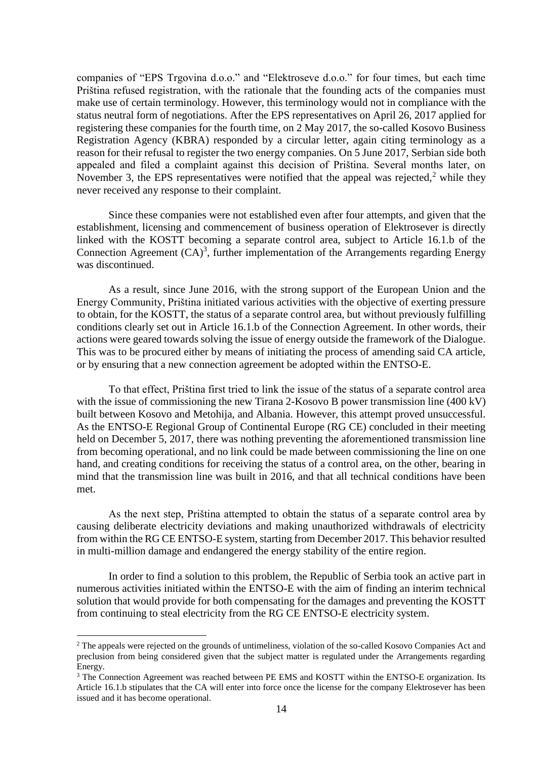companies of "EPS Trgovina d.o.o." and "Elektroseve d.o.o." for four times, but each time Priština refused registration, with the rationale that the founding acts of the companies must make use of certain terminology. However, this terminology would not in compliance with the status neutral form of negotiations. After the EPS representatives on April 26, 2017 applied for registering these companies for the fourth time, on 2 May 2017, the so-called Kosovo Business Registration Agency (KBRA) responded by a circular letter, again citing terminology as a reason for their refusal to register the two energy companies. On 5 June 2017, Serbian side both appealed and filed a complaint against this decision of Priština. Several months later, on November 3, the EPS representatives were notified that the appeal was rejected,<sup>2</sup> while they never received any response to their complaint.

Since these companies were not established even after four attempts, and given that the establishment, licensing and commencement of business operation of Elektrosever is directly linked with the KOSTT becoming a separate control area, subject to Article 16.1.b of the Connection Agreement  $(CA)^3$ , further implementation of the Arrangements regarding Energy was discontinued.

As a result, since June 2016, with the strong support of the European Union and the Energy Community, Priština initiated various activities with the objective of exerting pressure to obtain, for the KOSTT, the status of a separate control area, but without previously fulfilling conditions clearly set out in Article 16.1.b of the Connection Agreement. In other words, their actions were geared towards solving the issue of energy outside the framework of the Dialogue. This was to be procured either by means of initiating the process of amending said CA article, or by ensuring that a new connection agreement be adopted within the ENTSO-E.

To that effect, Priština first tried to link the issue of the status of a separate control area with the issue of commissioning the new Tirana 2-Kosovo B power transmission line (400 kV) built between Kosovo and Metohija, and Albania. However, this attempt proved unsuccessful. As the ENTSO-E Regional Group of Continental Europe (RG CE) concluded in their meeting held on December 5, 2017, there was nothing preventing the aforementioned transmission line from becoming operational, and no link could be made between commissioning the line on one hand, and creating conditions for receiving the status of a control area, on the other, bearing in mind that the transmission line was built in 2016, and that all technical conditions have been met.

As the next step, Priština attempted to obtain the status of a separate control area by causing deliberate electricity deviations and making unauthorized withdrawals of electricity from within the RG CE ENTSO-E system, starting from December 2017. This behavior resulted in multi-million damage and endangered the energy stability of the entire region.

In order to find a solution to this problem, the Republic of Serbia took an active part in numerous activities initiated within the ENTSO-E with the aim of finding an interim technical solution that would provide for both compensating for the damages and preventing the KOSTT from continuing to steal electricity from the RG CE ENTSO-E electricity system.

<u>.</u>

<sup>&</sup>lt;sup>2</sup> The appeals were rejected on the grounds of untimeliness, violation of the so-called Kosovo Companies Act and preclusion from being considered given that the subject matter is regulated under the Arrangements regarding Energy.

<sup>&</sup>lt;sup>3</sup> The Connection Agreement was reached between PE EMS and KOSTT within the ENTSO-E organization. Its Article 16.1.b stipulates that the CA will enter into force once the license for the company Elektrosever has been issued and it has become operational.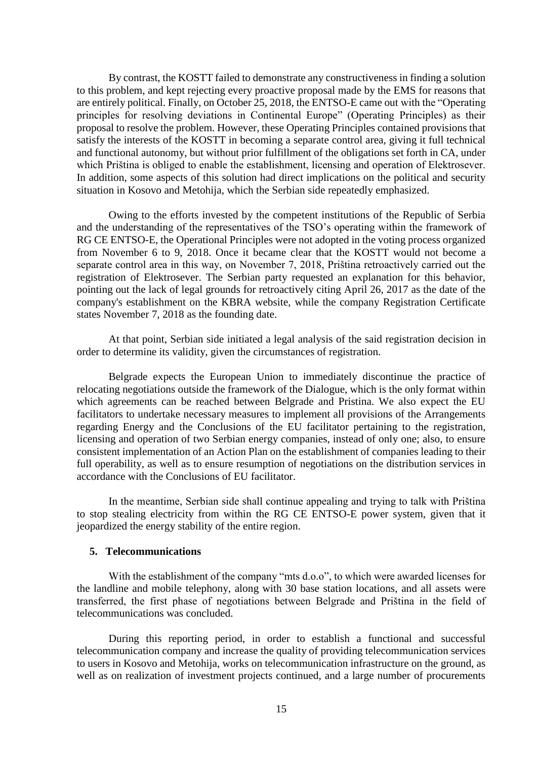By contrast, the KOSTT failed to demonstrate any constructiveness in finding a solution to this problem, and kept rejecting every proactive proposal made by the EMS for reasons that are entirely political. Finally, on October 25, 2018, the ENTSO-E came out with the "Operating principles for resolving deviations in Continental Europe" (Operating Principles) as their proposal to resolve the problem. However, these Operating Principles contained provisions that satisfy the interests of the KOSTT in becoming a separate control area, giving it full technical and functional autonomy, but without prior fulfillment of the obligations set forth in CA, under which Priština is obliged to enable the establishment, licensing and operation of Elektrosever. In addition, some aspects of this solution had direct implications on the political and security situation in Kosovo and Metohija, which the Serbian side repeatedly emphasized.

Owing to the efforts invested by the competent institutions of the Republic of Serbia and the understanding of the representatives of the TSO's operating within the framework of RG CE ENTSO-E, the Operational Principles were not adopted in the voting process organized from November 6 to 9, 2018. Once it became clear that the KOSTT would not become a separate control area in this way, on November 7, 2018, Priština retroactively carried out the registration of Elektrosever. The Serbian party requested an explanation for this behavior, pointing out the lack of legal grounds for retroactively citing April 26, 2017 as the date of the company's establishment on the KBRA website, while the company Registration Certificate states November 7, 2018 as the founding date.

At that point, Serbian side initiated a legal analysis of the said registration decision in order to determine its validity, given the circumstances of registration.

Belgrade expects the European Union to immediately discontinue the practice of relocating negotiations outside the framework of the Dialogue, which is the only format within which agreements can be reached between Belgrade and Pristina. We also expect the EU facilitators to undertake necessary measures to implement all provisions of the Arrangements regarding Energy and the Conclusions of the EU facilitator pertaining to the registration, licensing and operation of two Serbian energy companies, instead of only one; also, to ensure consistent implementation of an Action Plan on the establishment of companies leading to their full operability, as well as to ensure resumption of negotiations on the distribution services in accordance with the Conclusions of EU facilitator.

In the meantime, Serbian side shall continue appealing and trying to talk with Priština to stop stealing electricity from within the RG CE ENTSO-E power system, given that it jeopardized the energy stability of the entire region.

## **5. Telecommunications**

With the establishment of the company "mts d.o.o", to which were awarded licenses for the landline and mobile telephony, along with 30 base station locations, and all assets were transferred, the first phase of negotiations between Belgrade and Priština in the field of telecommunications was concluded.

During this reporting period, in order to establish a functional and successful telecommunication company and increase the quality of providing telecommunication services to users in Kosovo and Metohija, works on telecommunication infrastructure on the ground, as well as on realization of investment projects continued, and a large number of procurements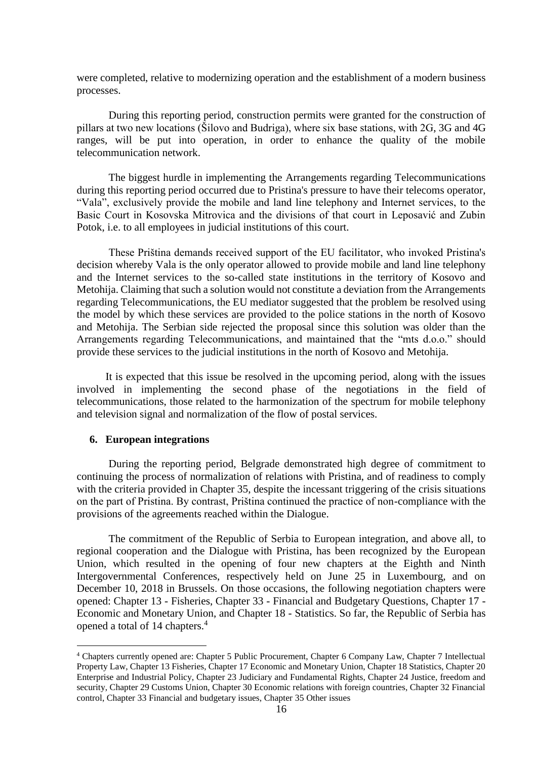were completed, relative to modernizing operation and the establishment of a modern business processes.

During this reporting period, construction permits were granted for the construction of pillars at two new locations (Šilovo and Budriga), where six base stations, with 2G, 3G and 4G ranges, will be put into operation, in order to enhance the quality of the mobile telecommunication network.

The biggest hurdle in implementing the Arrangements regarding Telecommunications during this reporting period occurred due to Pristina's pressure to have their telecoms operator, "Vala", exclusively provide the mobile and land line telephony and Internet services, to the Basic Court in Kosovska Mitrovica and the divisions of that court in Leposavić and Zubin Potok, i.e. to all employees in judicial institutions of this court.

These Priština demands received support of the EU facilitator, who invoked Pristina's decision whereby Vala is the only operator allowed to provide mobile and land line telephony and the Internet services to the so-called state institutions in the territory of Kosovo and Metohija. Claiming that such a solution would not constitute a deviation from the Arrangements regarding Telecommunications, the EU mediator suggested that the problem be resolved using the model by which these services are provided to the police stations in the north of Kosovo and Metohija. The Serbian side rejected the proposal since this solution was older than the Arrangements regarding Telecommunications, and maintained that the "mts d.o.o." should provide these services to the judicial institutions in the north of Kosovo and Metohija.

It is expected that this issue be resolved in the upcoming period, along with the issues involved in implementing the second phase of the negotiations in the field of telecommunications, those related to the harmonization of the spectrum for mobile telephony and television signal and normalization of the flow of postal services.

## **6. European integrations**

1

During the reporting period, Belgrade demonstrated high degree of commitment to continuing the process of normalization of relations with Pristina, and of readiness to comply with the criteria provided in Chapter 35, despite the incessant triggering of the crisis situations on the part of Pristina. By contrast, Priština continued the practice of non-compliance with the provisions of the agreements reached within the Dialogue.

The commitment of the Republic of Serbia to European integration, and above all, to regional cooperation and the Dialogue with Pristina, has been recognized by the European Union, which resulted in the opening of four new chapters at the Eighth and Ninth Intergovernmental Conferences, respectively held on June 25 in Luxembourg, and on December 10, 2018 in Brussels. On those occasions, the following negotiation chapters were opened: Chapter 13 - Fisheries, Chapter 33 - Financial and Budgetary Questions, Chapter 17 - Economic and Monetary Union, and Chapter 18 - Statistics. So far, the Republic of Serbia has opened a total of 14 chapters.<sup>4</sup>

<sup>4</sup> Chapters currently opened are: Chapter 5 Public Procurement, Chapter 6 Company Law, Chapter 7 Intellectual Property Law, Chapter 13 Fisheries, Chapter 17 Economic and Monetary Union, Chapter 18 Statistics, Chapter 20 Enterprise and Industrial Policy, Chapter 23 Judiciary and Fundamental Rights, Chapter 24 Justice, freedom and security, Chapter 29 Customs Union, Chapter 30 Economic relations with foreign countries, Chapter 32 Financial control, Chapter 33 Financial and budgetary issues, Chapter 35 Other issues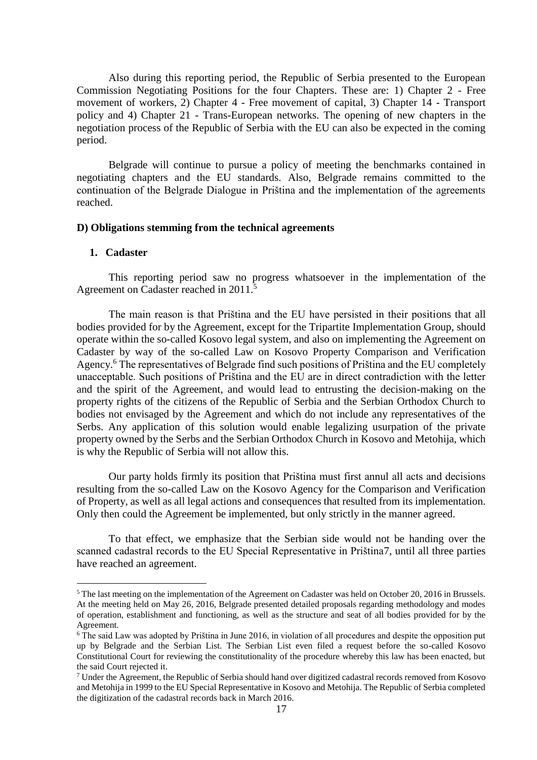Also during this reporting period, the Republic of Serbia presented to the European Commission Negotiating Positions for the four Chapters. These are: 1) Chapter 2 - Free movement of workers, 2) Chapter 4 - Free movement of capital, 3) Chapter 14 - Transport policy and 4) Chapter 21 - Trans-European networks. The opening of new chapters in the negotiation process of the Republic of Serbia with the EU can also be expected in the coming period.

Belgrade will continue to pursue a policy of meeting the benchmarks contained in negotiating chapters and the EU standards. Also, Belgrade remains committed to the continuation of the Belgrade Dialogue in Priština and the implementation of the agreements reached.

#### **D) Obligations stemming from the technical agreements**

## **1. Cadaster**

1

This reporting period saw no progress whatsoever in the implementation of the Agreement on Cadaster reached in 2011.<sup>5</sup>

The main reason is that Priština and the EU have persisted in their positions that all bodies provided for by the Agreement, except for the Tripartite Implementation Group, should operate within the so-called Kosovo legal system, and also on implementing the Agreement on Cadaster by way of the so-called Law on Kosovo Property Comparison and Verification Agency.<sup>6</sup> The representatives of Belgrade find such positions of Priština and the EU completely unacceptable. Such positions of Priština and the EU are in direct contradiction with the letter and the spirit of the Agreement, and would lead to entrusting the decision-making on the property rights of the citizens of the Republic of Serbia and the Serbian Orthodox Church to bodies not envisaged by the Agreement and which do not include any representatives of the Serbs. Any application of this solution would enable legalizing usurpation of the private property owned by the Serbs and the Serbian Orthodox Church in Kosovo and Metohija, which is why the Republic of Serbia will not allow this.

Our party holds firmly its position that Priština must first annul all acts and decisions resulting from the so-called Law on the Kosovo Agency for the Comparison and Verification of Property, as well as all legal actions and consequences that resulted from its implementation. Only then could the Agreement be implemented, but only strictly in the manner agreed.

To that effect, we emphasize that the Serbian side would not be handing over the scanned cadastral records to the EU Special Representative in Priština7, until all three parties have reached an agreement.

<sup>&</sup>lt;sup>5</sup> The last meeting on the implementation of the Agreement on Cadaster was held on October 20, 2016 in Brussels. At the meeting held on May 26, 2016, Belgrade presented detailed proposals regarding methodology and modes of operation, establishment and functioning, as well as the structure and seat of all bodies provided for by the Agreement.

<sup>&</sup>lt;sup>6</sup> The said Law was adopted by Priština in June 2016, in violation of all procedures and despite the opposition put up by Belgrade and the Serbian List. The Serbian List even filed a request before the so-called Kosovo Constitutional Court for reviewing the constitutionality of the procedure whereby this law has been enacted, but the said Court rejected it.

 $7$  Under the Agreement, the Republic of Serbia should hand over digitized cadastral records removed from Kosovo and Metohija in 1999 to the EU Special Representative in Kosovo and Metohija. The Republic of Serbia completed the digitization of the cadastral records back in March 2016.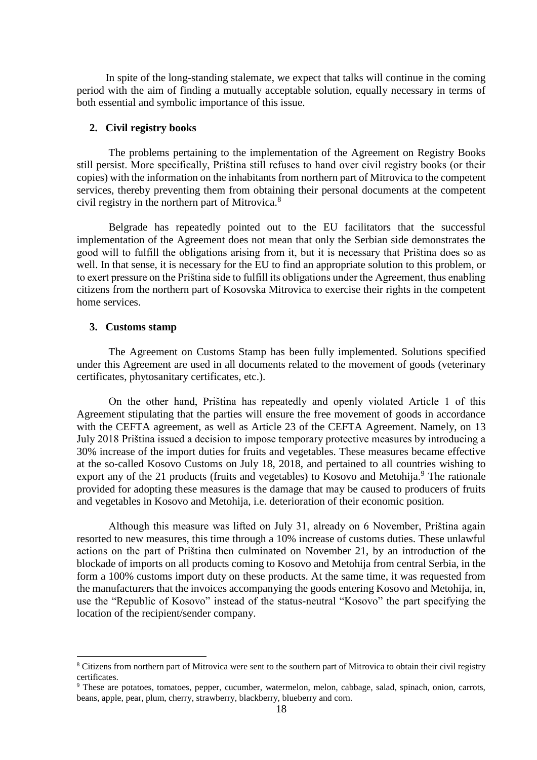In spite of the long-standing stalemate, we expect that talks will continue in the coming period with the aim of finding a mutually acceptable solution, equally necessary in terms of both essential and symbolic importance of this issue.

## **2. Civil registry books**

The problems pertaining to the implementation of the Agreement on Registry Books still persist. More specifically, Priština still refuses to hand over civil registry books (or their copies) with the information on the inhabitants from northern part of Mitrovica to the competent services, thereby preventing them from obtaining their personal documents at the competent civil registry in the northern part of Mitrovica.<sup>8</sup>

Belgrade has repeatedly pointed out to the EU facilitators that the successful implementation of the Agreement does not mean that only the Serbian side demonstrates the good will to fulfill the obligations arising from it, but it is necessary that Priština does so as well. In that sense, it is necessary for the EU to find an appropriate solution to this problem, or to exert pressure on the Priština side to fulfill its obligations under the Agreement, thus enabling citizens from the northern part of Kosovska Mitrovica to exercise their rights in the competent home services.

## **3. Customs stamp**

1

The Agreement on Customs Stamp has been fully implemented. Solutions specified under this Agreement are used in all documents related to the movement of goods (veterinary certificates, phytosanitary certificates, etc.).

On the other hand, Priština has repeatedly and openly violated Article 1 of this Agreement stipulating that the parties will ensure the free movement of goods in accordance with the CEFTA agreement, as well as Article 23 of the CEFTA Agreement. Namely, on 13 July 2018 Priština issued a decision to impose temporary protective measures by introducing a 30% increase of the import duties for fruits and vegetables. These measures became effective at the so-called Kosovo Customs on July 18, 2018, and pertained to all countries wishing to export any of the 21 products (fruits and vegetables) to Kosovo and Metohija.<sup>9</sup> The rationale provided for adopting these measures is the damage that may be caused to producers of fruits and vegetables in Kosovo and Metohija, i.e. deterioration of their economic position.

Although this measure was lifted on July 31, already on 6 November, Priština again resorted to new measures, this time through a 10% increase of customs duties. These unlawful actions on the part of Priština then culminated on November 21, by an introduction of the blockade of imports on all products coming to Kosovo and Metohija from central Serbia, in the form a 100% customs import duty on these products. At the same time, it was requested from the manufacturers that the invoices accompanying the goods entering Kosovo and Metohija, in, use the "Republic of Kosovo" instead of the status-neutral "Kosovo" the part specifying the location of the recipient/sender company.

<sup>8</sup> Citizens from northern part of Mitrovica were sent to the southern part of Mitrovica to obtain their civil registry certificates.

<sup>9</sup> These are potatoes, tomatoes, pepper, cucumber, watermelon, melon, cabbage, salad, spinach, onion, carrots, beans, apple, pear, plum, cherry, strawberry, blackberry, blueberry and corn.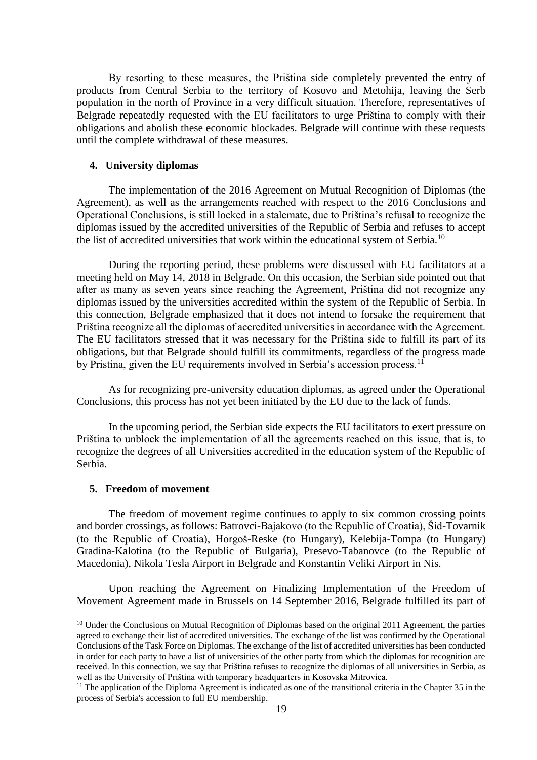By resorting to these measures, the Priština side completely prevented the entry of products from Central Serbia to the territory of Kosovo and Metohija, leaving the Serb population in the north of Province in a very difficult situation. Therefore, representatives of Belgrade repeatedly requested with the EU facilitators to urge Priština to comply with their obligations and abolish these economic blockades. Belgrade will continue with these requests until the complete withdrawal of these measures.

#### **4. University diplomas**

The implementation of the 2016 Agreement on Mutual Recognition of Diplomas (the Agreement), as well as the arrangements reached with respect to the 2016 Conclusions and Operational Conclusions, is still locked in a stalemate, due to Priština's refusal to recognize the diplomas issued by the accredited universities of the Republic of Serbia and refuses to accept the list of accredited universities that work within the educational system of Serbia.<sup>10</sup>

During the reporting period, these problems were discussed with EU facilitators at a meeting held on May 14, 2018 in Belgrade. On this occasion, the Serbian side pointed out that after as many as seven years since reaching the Agreement, Priština did not recognize any diplomas issued by the universities accredited within the system of the Republic of Serbia. In this connection, Belgrade emphasized that it does not intend to forsake the requirement that Priština recognize all the diplomas of accredited universities in accordance with the Agreement. The EU facilitators stressed that it was necessary for the Priština side to fulfill its part of its obligations, but that Belgrade should fulfill its commitments, regardless of the progress made by Pristina, given the EU requirements involved in Serbia's accession process.<sup>11</sup>

As for recognizing pre-university education diplomas, as agreed under the Operational Conclusions, this process has not yet been initiated by the EU due to the lack of funds.

In the upcoming period, the Serbian side expects the EU facilitators to exert pressure on Priština to unblock the implementation of all the agreements reached on this issue, that is, to recognize the degrees of all Universities accredited in the education system of the Republic of Serbia.

## **5. Freedom of movement**

1

The freedom of movement regime continues to apply to six common crossing points and border crossings, as follows: Batrovci-Bajakovo (to the Republic of Croatia), Šid-Tovarnik (to the Republic of Croatia), Horgoš-Reske (to Hungary), Kelebija-Tompa (to Hungary) Gradina-Kalotina (to the Republic of Bulgaria), Presevo-Tabanovce (to the Republic of Macedonia), Nikola Tesla Airport in Belgrade and Konstantin Veliki Airport in Nis.

Upon reaching the Agreement on Finalizing Implementation of the Freedom of Movement Agreement made in Brussels on 14 September 2016, Belgrade fulfilled its part of

<sup>&</sup>lt;sup>10</sup> Under the Conclusions on Mutual Recognition of Diplomas based on the original 2011 Agreement, the parties agreed to exchange their list of accredited universities. The exchange of the list was confirmed by the Operational Conclusions of the Task Force on Diplomas. The exchange of the list of accredited universities has been conducted in order for each party to have a list of universities of the other party from which the diplomas for recognition are received. In this connection, we say that Priština refuses to recognize the diplomas of all universities in Serbia, as well as the University of Priština with temporary headquarters in Kosovska Mitrovica.

<sup>&</sup>lt;sup>11</sup> The application of the Diploma Agreement is indicated as one of the transitional criteria in the Chapter 35 in the process of Serbia's accession to full EU membership.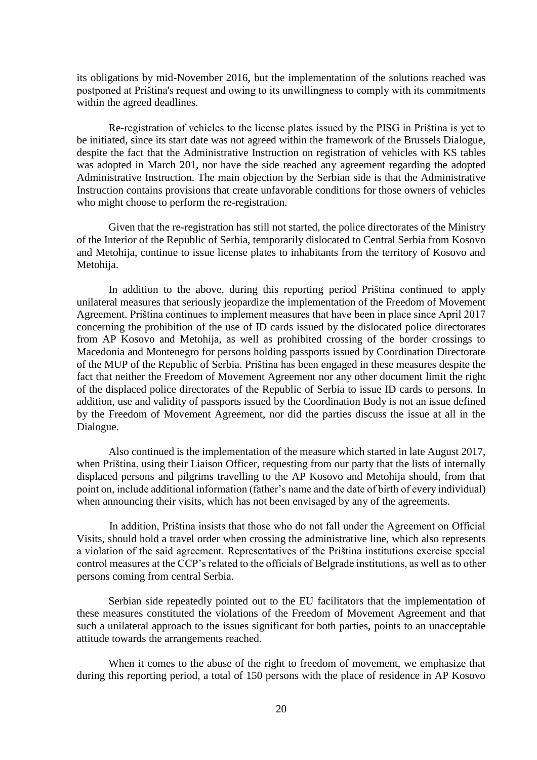its obligations by mid-November 2016, but the implementation of the solutions reached was postponed at Priština's request and owing to its unwillingness to comply with its commitments within the agreed deadlines.

Re-registration of vehicles to the license plates issued by the PISG in Priština is yet to be initiated, since its start date was not agreed within the framework of the Brussels Dialogue, despite the fact that the Administrative Instruction on registration of vehicles with KS tables was adopted in March 201, nor have the side reached any agreement regarding the adopted Administrative Instruction. The main objection by the Serbian side is that the Administrative Instruction contains provisions that create unfavorable conditions for those owners of vehicles who might choose to perform the re-registration.

Given that the re-registration has still not started, the police directorates of the Ministry of the Interior of the Republic of Serbia, temporarily dislocated to Central Serbia from Kosovo and Metohija, continue to issue license plates to inhabitants from the territory of Kosovo and Metohija.

In addition to the above, during this reporting period Priština continued to apply unilateral measures that seriously jeopardize the implementation of the Freedom of Movement Agreement. Priština continues to implement measures that have been in place since April 2017 concerning the prohibition of the use of ID cards issued by the dislocated police directorates from AP Kosovo and Metohija, as well as prohibited crossing of the border crossings to Macedonia and Montenegro for persons holding passports issued by Coordination Directorate of the MUP of the Republic of Serbia. Priština has been engaged in these measures despite the fact that neither the Freedom of Movement Agreement nor any other document limit the right of the displaced police directorates of the Republic of Serbia to issue ID cards to persons. In addition, use and validity of passports issued by the Coordination Body is not an issue defined by the Freedom of Movement Agreement, nor did the parties discuss the issue at all in the Dialogue.

Also continued is the implementation of the measure which started in late August 2017, when Priština, using their Liaison Officer, requesting from our party that the lists of internally displaced persons and pilgrims travelling to the AP Kosovo and Metohija should, from that point on, include additional information (father's name and the date of birth of every individual) when announcing their visits, which has not been envisaged by any of the agreements.

In addition, Priština insists that those who do not fall under the Agreement on Official Visits, should hold a travel order when crossing the administrative line, which also represents a violation of the said agreement. Representatives of the Priština institutions exercise special control measures at the CCP's related to the officials of Belgrade institutions, as well as to other persons coming from central Serbia.

Serbian side repeatedly pointed out to the EU facilitators that the implementation of these measures constituted the violations of the Freedom of Movement Agreement and that such a unilateral approach to the issues significant for both parties, points to an unacceptable attitude towards the arrangements reached.

When it comes to the abuse of the right to freedom of movement, we emphasize that during this reporting period, a total of 150 persons with the place of residence in AP Kosovo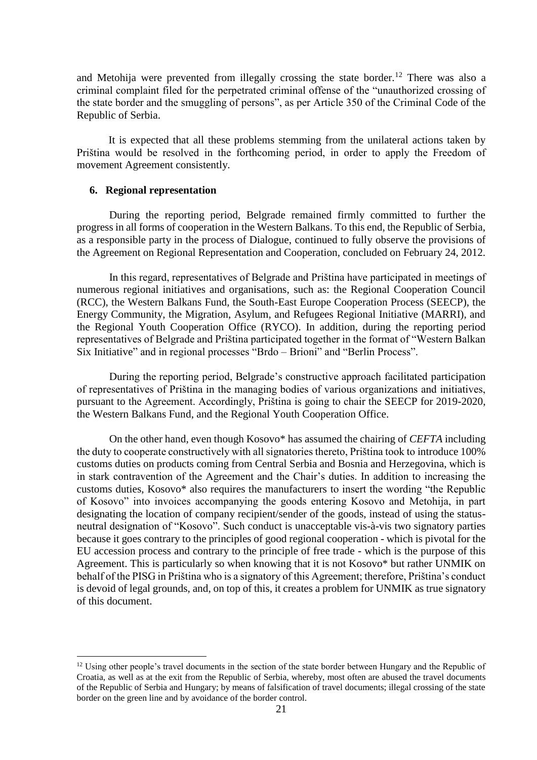and Metohija were prevented from illegally crossing the state border.<sup>12</sup> There was also a criminal complaint filed for the perpetrated criminal offense of the "unauthorized crossing of the state border and the smuggling of persons", as per Article 350 of the Criminal Code of the Republic of Serbia.

It is expected that all these problems stemming from the unilateral actions taken by Priština would be resolved in the forthcoming period, in order to apply the Freedom of movement Agreement consistently.

### **6. Regional representation**

1

During the reporting period, Belgrade remained firmly committed to further the progress in all forms of cooperation in the Western Balkans. To this end, the Republic of Serbia, as a responsible party in the process of Dialogue, continued to fully observe the provisions of the Agreement on Regional Representation and Cooperation, concluded on February 24, 2012.

In this regard, representatives of Belgrade and Priština have participated in meetings of numerous regional initiatives and organisations, such as: the Regional Cooperation Council (RCC), the Western Balkans Fund, the South-East Europe Cooperation Process (SEECP), the Energy Community, the Migration, Asylum, and Refugees Regional Initiative (MARRI), and the Regional Youth Cooperation Office (RYCO). In addition, during the reporting period representatives of Belgrade and Priština participated together in the format of "Western Balkan Six Initiative" and in regional processes "Brdo – Brioni" and "Berlin Process".

During the reporting period, Belgrade's constructive approach facilitated participation of representatives of Priština in the managing bodies of various organizations and initiatives, pursuant to the Agreement. Accordingly, Priština is going to chair the SEECP for 2019-2020, the Western Balkans Fund, and the Regional Youth Cooperation Office.

On the other hand, even though Kosovo\* has assumed the chairing of *CEFTA* including the duty to cooperate constructively with all signatories thereto, Priština took to introduce 100% customs duties on products coming from Central Serbia and Bosnia and Herzegovina, which is in stark contravention of the Agreement and the Chair's duties. In addition to increasing the customs duties, Kosovo\* also requires the manufacturers to insert the wording "the Republic of Kosovo" into invoices accompanying the goods entering Kosovo and Metohija, in part designating the location of company recipient/sender of the goods, instead of using the statusneutral designation of "Kosovo". Such conduct is unacceptable vis-à-vis two signatory parties because it goes contrary to the principles of good regional cooperation - which is pivotal for the EU accession process and contrary to the principle of free trade - which is the purpose of this Agreement. This is particularly so when knowing that it is not Kosovo\* but rather UNMIK on behalf of the PISG in Priština who is a signatory of this Agreement; therefore, Priština's conduct is devoid of legal grounds, and, on top of this, it creates a problem for UNMIK as true signatory of this document.

 $12$  Using other people's travel documents in the section of the state border between Hungary and the Republic of Croatia, as well as at the exit from the Republic of Serbia, whereby, most often are abused the travel documents of the Republic of Serbia and Hungary; by means of falsification of travel documents; illegal crossing of the state border on the green line and by avoidance of the border control.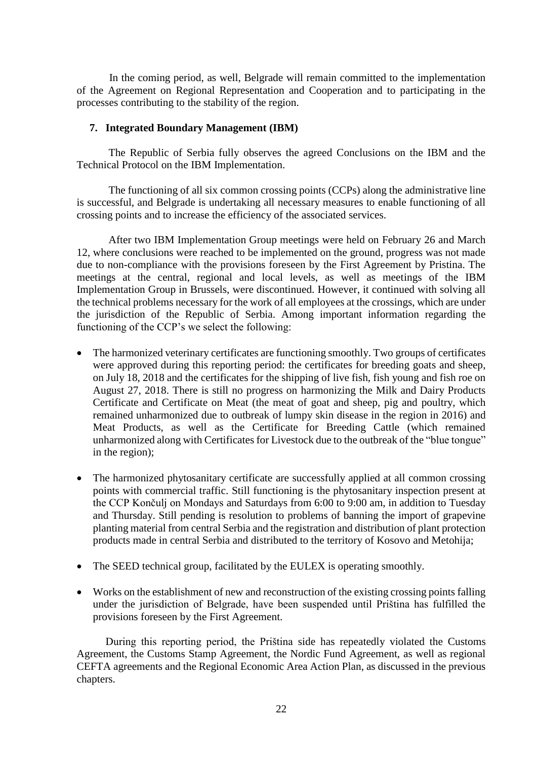In the coming period, as well, Belgrade will remain committed to the implementation of the Agreement on Regional Representation and Cooperation and to participating in the processes contributing to the stability of the region.

## **7. Integrated Boundary Management (IBM)**

The Republic of Serbia fully observes the agreed Conclusions on the IBM and the Technical Protocol on the IBM Implementation.

The functioning of all six common crossing points (CCPs) along the administrative line is successful, and Belgrade is undertaking all necessary measures to enable functioning of all crossing points and to increase the efficiency of the associated services.

After two IBM Implementation Group meetings were held on February 26 and March 12, where conclusions were reached to be implemented on the ground, progress was not made due to non-compliance with the provisions foreseen by the First Agreement by Pristina. The meetings at the central, regional and local levels, as well as meetings of the IBM Implementation Group in Brussels, were discontinued. However, it continued with solving all the technical problems necessary for the work of all employees at the crossings, which are under the jurisdiction of the Republic of Serbia. Among important information regarding the functioning of the CCP's we select the following:

- The harmonized veterinary certificates are functioning smoothly. Two groups of certificates were approved during this reporting period: the certificates for breeding goats and sheep, on July 18, 2018 and the certificates for the shipping of live fish, fish young and fish roe on August 27, 2018. There is still no progress on harmonizing the Milk and Dairy Products Certificate and Certificate on Meat (the meat of goat and sheep, pig and poultry, which remained unharmonized due to outbreak of lumpy skin disease in the region in 2016) and Meat Products, as well as the Certificate for Breeding Cattle (which remained unharmonized along with Certificates for Livestock due to the outbreak of the "blue tongue" in the region);
- The harmonized phytosanitary certificate are successfully applied at all common crossing points with commercial traffic. Still functioning is the phytosanitary inspection present at the CCP Končulj on Mondays and Saturdays from 6:00 to 9:00 am, in addition to Tuesday and Thursday. Still pending is resolution to problems of banning the import of grapevine planting material from central Serbia and the registration and distribution of plant protection products made in central Serbia and distributed to the territory of Kosovo and Metohija;
- The SEED technical group, facilitated by the EULEX is operating smoothly.
- Works on the establishment of new and reconstruction of the existing crossing points falling under the jurisdiction of Belgrade, have been suspended until Priština has fulfilled the provisions foreseen by the First Agreement.

During this reporting period, the Priština side has repeatedly violated the Customs Agreement, the Customs Stamp Agreement, the Nordic Fund Agreement, as well as regional CEFTA agreements and the Regional Economic Area Action Plan, as discussed in the previous chapters.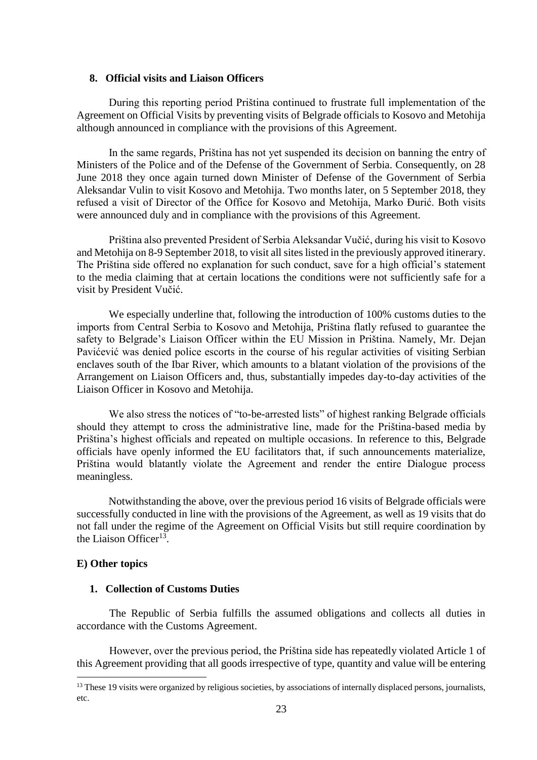## **8. Official visits and Liaison Officers**

During this reporting period Priština continued to frustrate full implementation of the Agreement on Official Visits by preventing visits of Belgrade officials to Kosovo and Metohija although announced in compliance with the provisions of this Agreement.

In the same regards, Priština has not yet suspended its decision on banning the entry of Ministers of the Police and of the Defense of the Government of Serbia. Consequently, on 28 June 2018 they once again turned down Minister of Defense of the Government of Serbia Aleksandar Vulin to visit Kosovo and Metohija. Two months later, on 5 September 2018, they refused a visit of Director of the Office for Kosovo and Metohija, Marko Đurić. Both visits were announced duly and in compliance with the provisions of this Agreement.

Priština also prevented President of Serbia Aleksandar Vučić, during his visit to Kosovo and Metohija on 8-9 September 2018, to visit all sites listed in the previously approved itinerary. The Priština side offered no explanation for such conduct, save for a high official's statement to the media claiming that at certain locations the conditions were not sufficiently safe for a visit by President Vučić.

We especially underline that, following the introduction of 100% customs duties to the imports from Central Serbia to Kosovo and Metohija, Priština flatly refused to guarantee the safety to Belgrade's Liaison Officer within the EU Mission in Priština. Namely, Mr. Dejan Pavićević was denied police escorts in the course of his regular activities of visiting Serbian enclaves south of the Ibar River, which amounts to a blatant violation of the provisions of the Arrangement on Liaison Officers and, thus, substantially impedes day-to-day activities of the Liaison Officer in Kosovo and Metohija.

We also stress the notices of "to-be-arrested lists" of highest ranking Belgrade officials should they attempt to cross the administrative line, made for the Priština-based media by Priština's highest officials and repeated on multiple occasions. In reference to this, Belgrade officials have openly informed the EU facilitators that, if such announcements materialize, Priština would blatantly violate the Agreement and render the entire Dialogue process meaningless.

Notwithstanding the above, over the previous period 16 visits of Belgrade officials were successfully conducted in line with the provisions of the Agreement, as well as 19 visits that do not fall under the regime of the Agreement on Official Visits but still require coordination by the Liaison Officer<sup>13</sup>.

## **E) Other topics**

1

## **1. Collection of Customs Duties**

The Republic of Serbia fulfills the assumed obligations and collects all duties in accordance with the Customs Agreement.

However, over the previous period, the Priština side has repeatedly violated Article 1 of this Agreement providing that all goods irrespective of type, quantity and value will be entering

 $<sup>13</sup>$  These 19 visits were organized by religious societies, by associations of internally displaced persons, journalists,</sup> etc.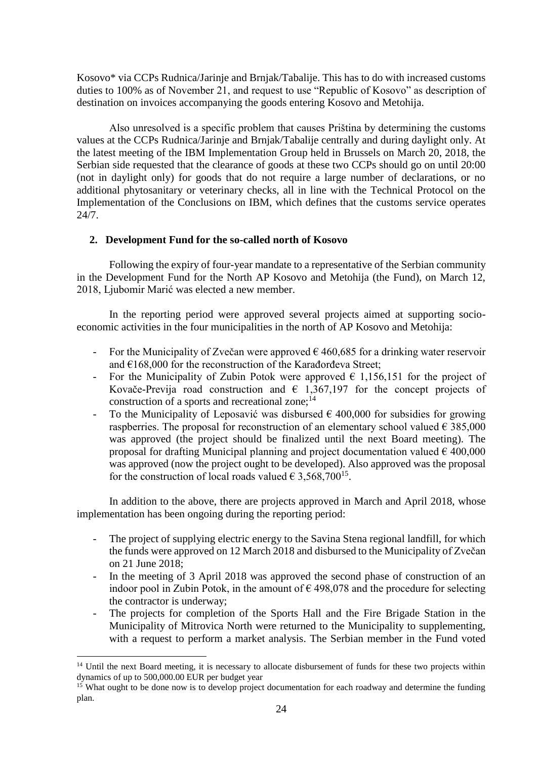Kosovo\* via CCPs Rudnica/Jarinje and Brnjak/Tabalije. This has to do with increased customs duties to 100% as of November 21, and request to use "Republic of Kosovo" as description of destination on invoices accompanying the goods entering Kosovo and Metohija.

Also unresolved is a specific problem that causes Priština by determining the customs values at the CCPs Rudnica/Jarinje and Brnjak/Tabalije centrally and during daylight only. At the latest meeting of the IBM Implementation Group held in Brussels on March 20, 2018, the Serbian side requested that the clearance of goods at these two CCPs should go on until 20:00 (not in daylight only) for goods that do not require a large number of declarations, or no additional phytosanitary or veterinary checks, all in line with the Technical Protocol on the Implementation of the Conclusions on IBM, which defines that the customs service operates  $24/7$ .

## **2. Development Fund for the so-called north of Kosovo**

Following the expiry of four-year mandate to a representative of the Serbian community in the Development Fund for the North AP Kosovo and Metohija (the Fund), on March 12, 2018, Ljubomir Marić was elected a new member.

In the reporting period were approved several projects aimed at supporting socioeconomic activities in the four municipalities in the north of AP Kosovo and Metohija:

- For the Municipality of Zvečan were approved  $\epsilon$  460,685 for a drinking water reservoir and €168,000 for the reconstruction of the Karađorđeva Street;
- For the Municipality of Zubin Potok were approved  $\epsilon$  1,156,151 for the project of Kovače-Previja road construction and  $\epsilon$  1,367,197 for the concept projects of construction of a sports and recreational zone; $^{14}$
- To the Municipality of Leposavić was disbursed  $\epsilon$  400,000 for subsidies for growing raspberries. The proposal for reconstruction of an elementary school valued  $\epsilon$  385,000 was approved (the project should be finalized until the next Board meeting). The proposal for drafting Municipal planning and project documentation valued  $\epsilon$  400,000 was approved (now the project ought to be developed). Also approved was the proposal for the construction of local roads valued  $\epsilon$  3,568,700<sup>15</sup>.

In addition to the above, there are projects approved in March and April 2018, whose implementation has been ongoing during the reporting period:

- The project of supplying electric energy to the Savina Stena regional landfill, for which the funds were approved on 12 March 2018 and disbursed to the Municipality of Zvečan on 21 June 2018;
- In the meeting of 3 April 2018 was approved the second phase of construction of an indoor pool in Zubin Potok, in the amount of  $\epsilon$  498,078 and the procedure for selecting the contractor is underway;
- The projects for completion of the Sports Hall and the Fire Brigade Station in the Municipality of Mitrovica North were returned to the Municipality to supplementing, with a request to perform a market analysis. The Serbian member in the Fund voted

1

<sup>&</sup>lt;sup>14</sup> Until the next Board meeting, it is necessary to allocate disbursement of funds for these two projects within dynamics of up to 500,000.00 EUR per budget year

 $15$  What ought to be done now is to develop project documentation for each roadway and determine the funding plan.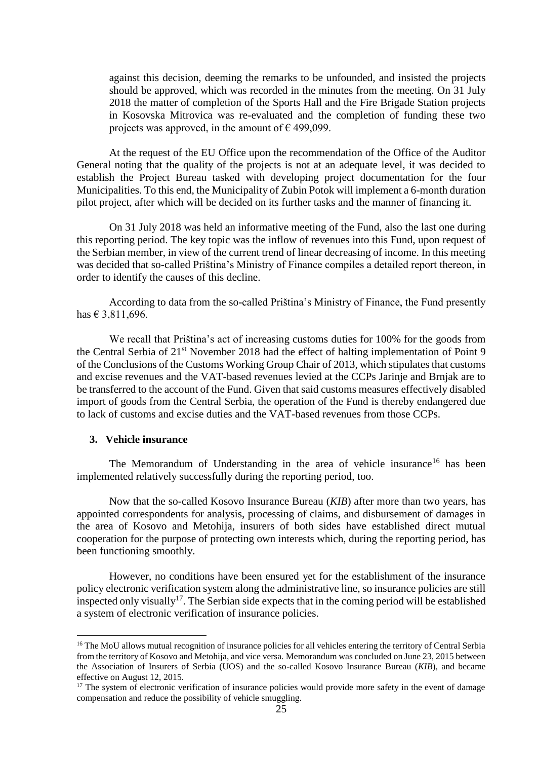against this decision, deeming the remarks to be unfounded, and insisted the projects should be approved, which was recorded in the minutes from the meeting. On 31 July 2018 the matter of completion of the Sports Hall and the Fire Brigade Station projects in Kosovska Mitrovica was re-evaluated and the completion of funding these two projects was approved, in the amount of  $\epsilon$  499,099.

At the request of the EU Office upon the recommendation of the Office of the Auditor General noting that the quality of the projects is not at an adequate level, it was decided to establish the Project Bureau tasked with developing project documentation for the four Municipalities. To this end, the Municipality of Zubin Potok will implement a 6-month duration pilot project, after which will be decided on its further tasks and the manner of financing it.

On 31 July 2018 was held an informative meeting of the Fund, also the last one during this reporting period. The key topic was the inflow of revenues into this Fund, upon request of the Serbian member, in view of the current trend of linear decreasing of income. In this meeting was decided that so-called Priština's Ministry of Finance compiles a detailed report thereon, in order to identify the causes of this decline.

According to data from the so-called Priština's Ministry of Finance, the Fund presently has € 3,811,696.

We recall that Priština's act of increasing customs duties for 100% for the goods from the Central Serbia of 21<sup>st</sup> November 2018 had the effect of halting implementation of Point 9 of the Conclusions of the Customs Working Group Chair of 2013, which stipulates that customs and excise revenues and the VAT-based revenues levied at the CCPs Jarinje and Brnjak are to be transferred to the account of the Fund. Given that said customs measures effectively disabled import of goods from the Central Serbia, the operation of the Fund is thereby endangered due to lack of customs and excise duties and the VAT-based revenues from those CCPs.

## **3. Vehicle insurance**

<u>.</u>

The Memorandum of Understanding in the area of vehicle insurance<sup>16</sup> has been implemented relatively successfully during the reporting period, too.

Now that the so-called Kosovo Insurance Bureau (*KIB*) after more than two years, has appointed correspondents for analysis, processing of claims, and disbursement of damages in the area of Kosovo and Metohija, insurers of both sides have established direct mutual cooperation for the purpose of protecting own interests which, during the reporting period, has been functioning smoothly.

However, no conditions have been ensured yet for the establishment of the insurance policy electronic verification system along the administrative line, so insurance policies are still inspected only visually<sup>17</sup>. The Serbian side expects that in the coming period will be established a system of electronic verification of insurance policies.

<sup>&</sup>lt;sup>16</sup> The MoU allows mutual recognition of insurance policies for all vehicles entering the territory of Central Serbia from the territory of Kosovo and Metohija, and vice versa. Memorandum was concluded on June 23, 2015 between the Association of Insurers of Serbia (UOS) and the so-called Kosovo Insurance Bureau (*KIB*), and became effective on August 12, 2015.

 $17$  The system of electronic verification of insurance policies would provide more safety in the event of damage compensation and reduce the possibility of vehicle smuggling.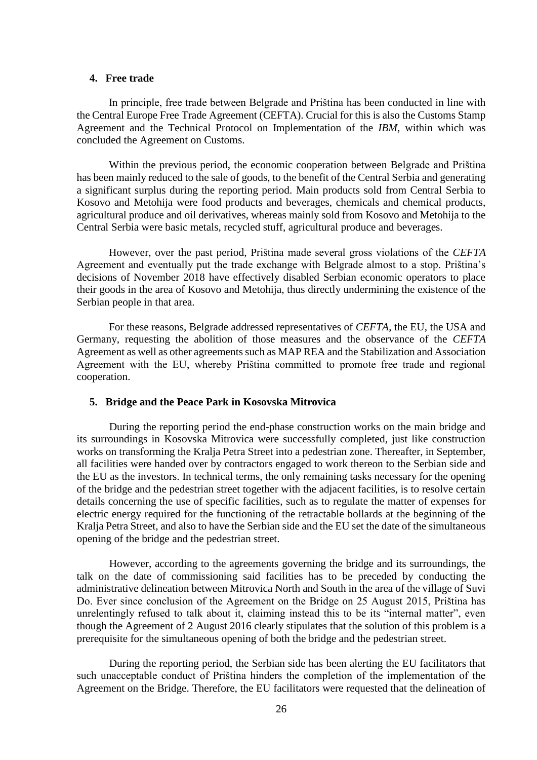## **4. Free trade**

In principle, free trade between Belgrade and Priština has been conducted in line with the Central Europe Free Trade Agreement (CEFTA). Crucial for this is also the Customs Stamp Agreement and the Technical Protocol on Implementation of the *IBM*, within which was concluded the Agreement on Customs.

Within the previous period, the economic cooperation between Belgrade and Priština has been mainly reduced to the sale of goods, to the benefit of the Central Serbia and generating a significant surplus during the reporting period. Main products sold from Central Serbia to Kosovo and Metohija were food products and beverages, chemicals and chemical products, agricultural produce and oil derivatives, whereas mainly sold from Kosovo and Metohija to the Central Serbia were basic metals, recycled stuff, agricultural produce and beverages.

However, over the past period, Priština made several gross violations of the *CEFTA* Agreement and eventually put the trade exchange with Belgrade almost to a stop. Priština's decisions of November 2018 have effectively disabled Serbian economic operators to place their goods in the area of Kosovo and Metohija, thus directly undermining the existence of the Serbian people in that area.

For these reasons, Belgrade addressed representatives of *CEFTA*, the EU, the USA and Germany, requesting the abolition of those measures and the observance of the *CEFTA* Agreement as well as other agreements such as MAP REA and the Stabilization and Association Agreement with the EU, whereby Priština committed to promote free trade and regional cooperation.

#### **5. Bridge and the Peace Park in Kosovska Mitrovica**

During the reporting period the end-phase construction works on the main bridge and its surroundings in Kosovska Mitrovica were successfully completed, just like construction works on transforming the Kralja Petra Street into a pedestrian zone. Thereafter, in September, all facilities were handed over by contractors engaged to work thereon to the Serbian side and the EU as the investors. In technical terms, the only remaining tasks necessary for the opening of the bridge and the pedestrian street together with the adjacent facilities, is to resolve certain details concerning the use of specific facilities, such as to regulate the matter of expenses for electric energy required for the functioning of the retractable bollards at the beginning of the Kralja Petra Street, and also to have the Serbian side and the EU set the date of the simultaneous opening of the bridge and the pedestrian street.

However, according to the agreements governing the bridge and its surroundings, the talk on the date of commissioning said facilities has to be preceded by conducting the administrative delineation between Mitrovica North and South in the area of the village of Suvi Do. Ever since conclusion of the Agreement on the Bridge on 25 August 2015, Priština has unrelentingly refused to talk about it, claiming instead this to be its "internal matter", even though the Agreement of 2 August 2016 clearly stipulates that the solution of this problem is a prerequisite for the simultaneous opening of both the bridge and the pedestrian street.

During the reporting period, the Serbian side has been alerting the EU facilitators that such unacceptable conduct of Priština hinders the completion of the implementation of the Agreement on the Bridge. Therefore, the EU facilitators were requested that the delineation of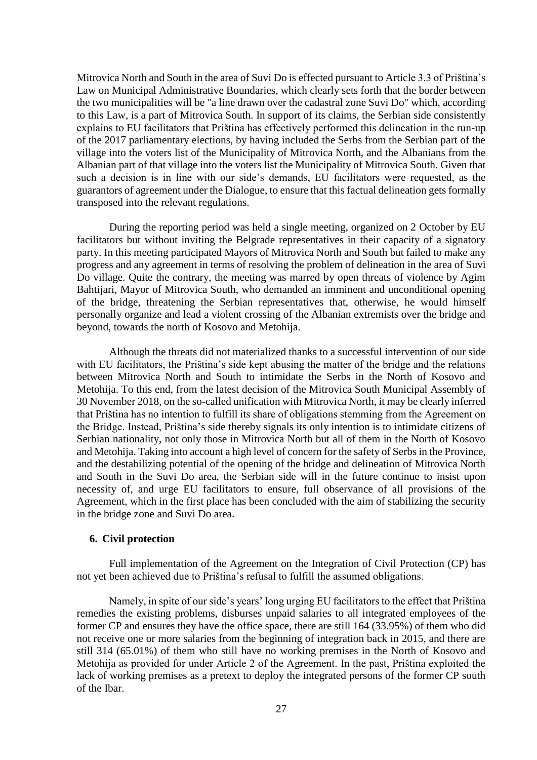Mitrovica North and South in the area of Suvi Do is effected pursuant to Article 3.3 of Priština's Law on Municipal Administrative Boundaries, which clearly sets forth that the border between the two municipalities will be "a line drawn over the cadastral zone Suvi Do" which, according to this Law, is a part of Mitrovica South. In support of its claims, the Serbian side consistently explains to EU facilitators that Priština has effectively performed this delineation in the run-up of the 2017 parliamentary elections, by having included the Serbs from the Serbian part of the village into the voters list of the Municipality of Mitrovica North, and the Albanians from the Albanian part of that village into the voters list the Municipality of Mitrovica South. Given that such a decision is in line with our side's demands, EU facilitators were requested, as the guarantors of agreement under the Dialogue, to ensure that this factual delineation gets formally transposed into the relevant regulations.

During the reporting period was held a single meeting, organized on 2 October by EU facilitators but without inviting the Belgrade representatives in their capacity of a signatory party. In this meeting participated Mayors of Mitrovica North and South but failed to make any progress and any agreement in terms of resolving the problem of delineation in the area of Suvi Do village. Quite the contrary, the meeting was marred by open threats of violence by Agim Bahtijari, Mayor of Mitrovica South, who demanded an imminent and unconditional opening of the bridge, threatening the Serbian representatives that, otherwise, he would himself personally organize and lead a violent crossing of the Albanian extremists over the bridge and beyond, towards the north of Kosovo and Metohija.

Although the threats did not materialized thanks to a successful intervention of our side with EU facilitators, the Priština's side kept abusing the matter of the bridge and the relations between Mitrovica North and South to intimidate the Serbs in the North of Kosovo and Metohija. To this end, from the latest decision of the Mitrovica South Municipal Assembly of 30 November 2018, on the so-called unification with Mitrovica North, it may be clearly inferred that Priština has no intention to fulfill its share of obligations stemming from the Agreement on the Bridge. Instead, Priština's side thereby signals its only intention is to intimidate citizens of Serbian nationality, not only those in Mitrovica North but all of them in the North of Kosovo and Metohija. Taking into account a high level of concern for the safety of Serbs in the Province, and the destabilizing potential of the opening of the bridge and delineation of Mitrovica North and South in the Suvi Do area, the Serbian side will in the future continue to insist upon necessity of, and urge EU facilitators to ensure, full observance of all provisions of the Agreement, which in the first place has been concluded with the aim of stabilizing the security in the bridge zone and Suvi Do area.

## **6. Civil protection**

Full implementation of the Agreement on the Integration of Civil Protection (CP) has not yet been achieved due to Priština's refusal to fulfill the assumed obligations.

Namely, in spite of our side's years' long urging EU facilitators to the effect that Priština remedies the existing problems, disburses unpaid salaries to all integrated employees of the former CP and ensures they have the office space, there are still 164 (33.95%) of them who did not receive one or more salaries from the beginning of integration back in 2015, and there are still 314 (65.01%) of them who still have no working premises in the North of Kosovo and Metohija as provided for under Article 2 of the Agreement. In the past, Priština exploited the lack of working premises as a pretext to deploy the integrated persons of the former CP south of the Ibar.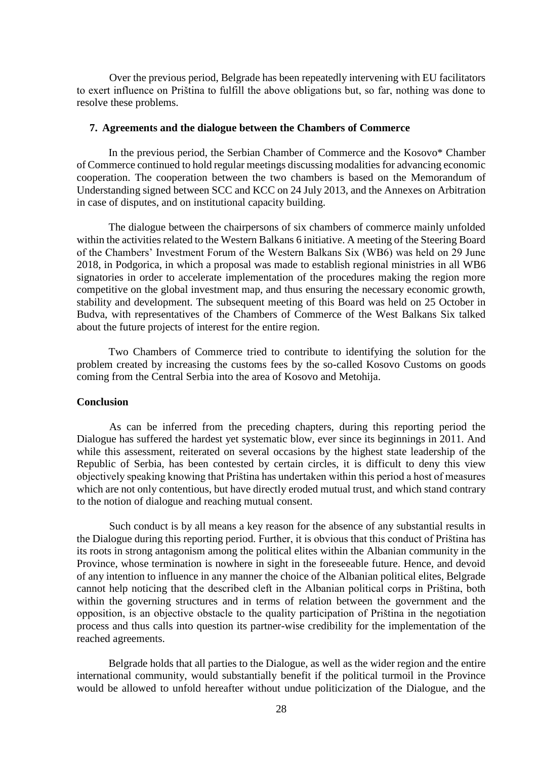Over the previous period, Belgrade has been repeatedly intervening with EU facilitators to exert influence on Priština to fulfill the above obligations but, so far, nothing was done to resolve these problems.

## **7. Agreements and the dialogue between the Chambers of Commerce**

In the previous period, the Serbian Chamber of Commerce and the Kosovo\* Chamber of Commerce continued to hold regular meetings discussing modalities for advancing economic cooperation. The cooperation between the two chambers is based on the Memorandum of Understanding signed between SCC and KCC on 24 July 2013, and the Annexes on Arbitration in case of disputes, and on institutional capacity building.

The dialogue between the chairpersons of six chambers of commerce mainly unfolded within the activities related to the Western Balkans 6 initiative. A meeting of the Steering Board of the Chambers' Investment Forum of the Western Balkans Six (WB6) was held on 29 June 2018, in Podgorica, in which a proposal was made to establish regional ministries in all WB6 signatories in order to accelerate implementation of the procedures making the region more competitive on the global investment map, and thus ensuring the necessary economic growth, stability and development. The subsequent meeting of this Board was held on 25 October in Budva, with representatives of the Chambers of Commerce of the West Balkans Six talked about the future projects of interest for the entire region.

Two Chambers of Commerce tried to contribute to identifying the solution for the problem created by increasing the customs fees by the so-called Kosovo Customs on goods coming from the Central Serbia into the area of Kosovo and Metohija.

## **Conclusion**

As can be inferred from the preceding chapters, during this reporting period the Dialogue has suffered the hardest yet systematic blow, ever since its beginnings in 2011. And while this assessment, reiterated on several occasions by the highest state leadership of the Republic of Serbia, has been contested by certain circles, it is difficult to deny this view objectively speaking knowing that Priština has undertaken within this period a host of measures which are not only contentious, but have directly eroded mutual trust, and which stand contrary to the notion of dialogue and reaching mutual consent.

Such conduct is by all means a key reason for the absence of any substantial results in the Dialogue during this reporting period. Further, it is obvious that this conduct of Priština has its roots in strong antagonism among the political elites within the Albanian community in the Province, whose termination is nowhere in sight in the foreseeable future. Hence, and devoid of any intention to influence in any manner the choice of the Albanian political elites, Belgrade cannot help noticing that the described cleft in the Albanian political corps in Priština, both within the governing structures and in terms of relation between the government and the opposition, is an objective obstacle to the quality participation of Priština in the negotiation process and thus calls into question its partner-wise credibility for the implementation of the reached agreements.

Belgrade holds that all parties to the Dialogue, as well as the wider region and the entire international community, would substantially benefit if the political turmoil in the Province would be allowed to unfold hereafter without undue politicization of the Dialogue, and the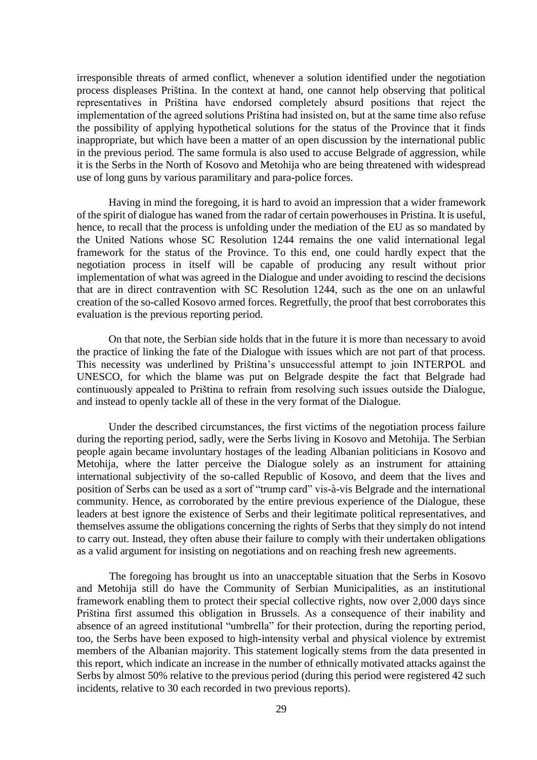irresponsible threats of armed conflict, whenever a solution identified under the negotiation process displeases Priština. In the context at hand, one cannot help observing that political representatives in Priština have endorsed completely absurd positions that reject the implementation of the agreed solutions Priština had insisted on, but at the same time also refuse the possibility of applying hypothetical solutions for the status of the Province that it finds inappropriate, but which have been a matter of an open discussion by the international public in the previous period. The same formula is also used to accuse Belgrade of aggression, while it is the Serbs in the North of Kosovo and Metohija who are being threatened with widespread use of long guns by various paramilitary and para-police forces.

Having in mind the foregoing, it is hard to avoid an impression that a wider framework of the spirit of dialogue has waned from the radar of certain powerhouses in Pristina. It is useful, hence, to recall that the process is unfolding under the mediation of the EU as so mandated by the United Nations whose SC Resolution 1244 remains the one valid international legal framework for the status of the Province. To this end, one could hardly expect that the negotiation process in itself will be capable of producing any result without prior implementation of what was agreed in the Dialogue and under avoiding to rescind the decisions that are in direct contravention with SC Resolution 1244, such as the one on an unlawful creation of the so-called Kosovo armed forces. Regretfully, the proof that best corroborates this evaluation is the previous reporting period.

On that note, the Serbian side holds that in the future it is more than necessary to avoid the practice of linking the fate of the Dialogue with issues which are not part of that process. This necessity was underlined by Priština's unsuccessful attempt to join INTERPOL and UNESCO, for which the blame was put on Belgrade despite the fact that Belgrade had continuously appealed to Priština to refrain from resolving such issues outside the Dialogue, and instead to openly tackle all of these in the very format of the Dialogue.

Under the described circumstances, the first victims of the negotiation process failure during the reporting period, sadly, were the Serbs living in Kosovo and Metohija. The Serbian people again became involuntary hostages of the leading Albanian politicians in Kosovo and Metohija, where the latter perceive the Dialogue solely as an instrument for attaining international subjectivity of the so-called Republic of Kosovo, and deem that the lives and position of Serbs can be used as a sort of "trump card" vis-à-vis Belgrade and the international community. Hence, as corroborated by the entire previous experience of the Dialogue, these leaders at best ignore the existence of Serbs and their legitimate political representatives, and themselves assume the obligations concerning the rights of Serbs that they simply do not intend to carry out. Instead, they often abuse their failure to comply with their undertaken obligations as a valid argument for insisting on negotiations and on reaching fresh new agreements.

The foregoing has brought us into an unacceptable situation that the Serbs in Kosovo and Metohija still do have the Community of Serbian Municipalities, as an institutional framework enabling them to protect their special collective rights, now over 2,000 days since Priština first assumed this obligation in Brussels. As a consequence of their inability and absence of an agreed institutional "umbrella" for their protection, during the reporting period, too, the Serbs have been exposed to high-intensity verbal and physical violence by extremist members of the Albanian majority. This statement logically stems from the data presented in this report, which indicate an increase in the number of ethnically motivated attacks against the Serbs by almost 50% relative to the previous period (during this period were registered 42 such incidents, relative to 30 each recorded in two previous reports).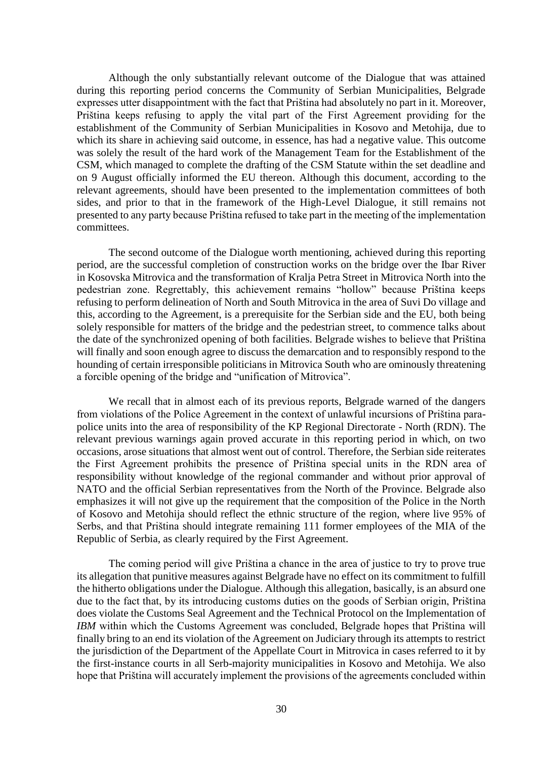Although the only substantially relevant outcome of the Dialogue that was attained during this reporting period concerns the Community of Serbian Municipalities, Belgrade expresses utter disappointment with the fact that Priština had absolutely no part in it. Moreover, Priština keeps refusing to apply the vital part of the First Agreement providing for the establishment of the Community of Serbian Municipalities in Kosovo and Metohija, due to which its share in achieving said outcome, in essence, has had a negative value. This outcome was solely the result of the hard work of the Management Team for the Establishment of the CSM, which managed to complete the drafting of the CSM Statute within the set deadline and on 9 August officially informed the EU thereon. Although this document, according to the relevant agreements, should have been presented to the implementation committees of both sides, and prior to that in the framework of the High-Level Dialogue, it still remains not presented to any party because Priština refused to take part in the meeting of the implementation committees.

The second outcome of the Dialogue worth mentioning, achieved during this reporting period, are the successful completion of construction works on the bridge over the Ibar River in Kosovska Mitrovica and the transformation of Kralja Petra Street in Mitrovica North into the pedestrian zone. Regrettably, this achievement remains "hollow" because Priština keeps refusing to perform delineation of North and South Mitrovica in the area of Suvi Do village and this, according to the Agreement, is a prerequisite for the Serbian side and the EU, both being solely responsible for matters of the bridge and the pedestrian street, to commence talks about the date of the synchronized opening of both facilities. Belgrade wishes to believe that Priština will finally and soon enough agree to discuss the demarcation and to responsibly respond to the hounding of certain irresponsible politicians in Mitrovica South who are ominously threatening a forcible opening of the bridge and "unification of Mitrovica".

We recall that in almost each of its previous reports, Belgrade warned of the dangers from violations of the Police Agreement in the context of unlawful incursions of Priština parapolice units into the area of responsibility of the KP Regional Directorate - North (RDN). The relevant previous warnings again proved accurate in this reporting period in which, on two occasions, arose situations that almost went out of control. Therefore, the Serbian side reiterates the First Agreement prohibits the presence of Priština special units in the RDN area of responsibility without knowledge of the regional commander and without prior approval of NATO and the official Serbian representatives from the North of the Province. Belgrade also emphasizes it will not give up the requirement that the composition of the Police in the North of Kosovo and Metohija should reflect the ethnic structure of the region, where live 95% of Serbs, and that Priština should integrate remaining 111 former employees of the MIA of the Republic of Serbia, as clearly required by the First Agreement.

The coming period will give Priština a chance in the area of justice to try to prove true its allegation that punitive measures against Belgrade have no effect on its commitment to fulfill the hitherto obligations under the Dialogue. Although this allegation, basically, is an absurd one due to the fact that, by its introducing customs duties on the goods of Serbian origin, Priština does violate the Customs Seal Agreement and the Technical Protocol on the Implementation of *IBM* within which the Customs Agreement was concluded, Belgrade hopes that Priština will finally bring to an end its violation of the Agreement on Judiciary through its attempts to restrict the jurisdiction of the Department of the Appellate Court in Mitrovica in cases referred to it by the first-instance courts in all Serb-majority municipalities in Kosovo and Metohija. We also hope that Priština will accurately implement the provisions of the agreements concluded within